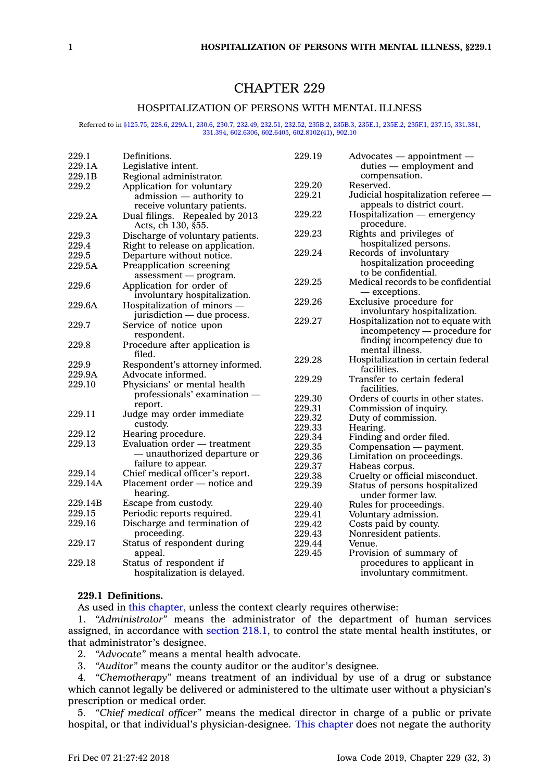# CHAPTER 229

## HOSPITALIZATION OF PERSONS WITH MENTAL ILLNESS

#### Referred to in [§125.75](https://www.legis.iowa.gov/docs/code/125.75.pdf), [228.6](https://www.legis.iowa.gov/docs/code/228.6.pdf), [229A.1](https://www.legis.iowa.gov/docs/code/229A.1.pdf), [230.6](https://www.legis.iowa.gov/docs/code/230.6.pdf), [230.7](https://www.legis.iowa.gov/docs/code/230.7.pdf), [232.49](https://www.legis.iowa.gov/docs/code/232.49.pdf), [232.51](https://www.legis.iowa.gov/docs/code/232.51.pdf), [232.52](https://www.legis.iowa.gov/docs/code/232.52.pdf), [235B.2](https://www.legis.iowa.gov/docs/code/235B.2.pdf), [235B.3](https://www.legis.iowa.gov/docs/code/235B.3.pdf), [235E.1](https://www.legis.iowa.gov/docs/code/235E.1.pdf), [235E.2](https://www.legis.iowa.gov/docs/code/235E.2.pdf), [235F.1](https://www.legis.iowa.gov/docs/code/235F.1.pdf), [237.15](https://www.legis.iowa.gov/docs/code/237.15.pdf), [331.381](https://www.legis.iowa.gov/docs/code/331.381.pdf), [331.394,](https://www.legis.iowa.gov/docs/code/331.394.pdf) [602.6306](https://www.legis.iowa.gov/docs/code/602.6306.pdf), [602.6405](https://www.legis.iowa.gov/docs/code/602.6405.pdf), [602.8102\(41\)](https://www.legis.iowa.gov/docs/code/602.8102.pdf), [902.10](https://www.legis.iowa.gov/docs/code/902.10.pdf)

| 229.1   | Definitions.                     | 229.19 | $Advocates$ - appointment -                       |
|---------|----------------------------------|--------|---------------------------------------------------|
| 229.1A  | Legislative intent.              |        | duties — employment and                           |
| 229.1B  | Regional administrator.          |        | compensation.                                     |
| 229.2   | Application for voluntary        | 229.20 | Reserved.                                         |
|         | admission - authority to         | 229.21 | Judicial hospitalization referee -                |
|         | receive voluntary patients.      |        | appeals to district court.                        |
| 229.2A  | Dual filings. Repealed by 2013   | 229.22 | Hospitalization - emergency                       |
|         | Acts, ch 130, §55.               |        | procedure.                                        |
| 229.3   | Discharge of voluntary patients. | 229.23 | Rights and privileges of                          |
| 229.4   | Right to release on application. |        | hospitalized persons.                             |
| 229.5   | Departure without notice.        | 229.24 | Records of involuntary                            |
| 229.5A  | Preapplication screening         |        | hospitalization proceeding                        |
|         | $assessment$ - program.          |        | to be confidential.                               |
| 229.6   | Application for order of         | 229.25 | Medical records to be confidential                |
|         | involuntary hospitalization.     |        | — exceptions.                                     |
| 229.6A  | Hospitalization of minors -      | 229.26 | Exclusive procedure for                           |
|         | jurisdiction — due process.      |        | involuntary hospitalization.                      |
| 229.7   | Service of notice upon           | 229.27 | Hospitalization not to equate with                |
|         | respondent.                      |        | incompetency — procedure for                      |
| 229.8   | Procedure after application is   |        | finding incompetency due to                       |
|         | filed.                           |        | mental illness.                                   |
| 229.9   | Respondent's attorney informed.  | 229.28 | Hospitalization in certain federal<br>facilities. |
| 229.9A  | Advocate informed.               | 229.29 | Transfer to certain federal                       |
| 229.10  | Physicians' or mental health     |        | facilities.                                       |
|         | $professionals' examination -$   | 229.30 | Orders of courts in other states.                 |
|         | report.                          | 229.31 | Commission of inquiry.                            |
| 229.11  | Judge may order immediate        | 229.32 | Duty of commission.                               |
|         | custody.                         | 229.33 | Hearing.                                          |
| 229.12  | Hearing procedure.               | 229.34 | Finding and order filed.                          |
| 229.13  | Evaluation order - treatment     | 229.35 | Compensation — payment.                           |
|         | - unauthorized departure or      | 229.36 | Limitation on proceedings.                        |
|         | failure to appear.               | 229.37 | Habeas corpus.                                    |
| 229.14  | Chief medical officer's report.  | 229.38 | Cruelty or official misconduct.                   |
| 229.14A | Placement order - notice and     | 229.39 | Status of persons hospitalized                    |
|         | hearing.                         |        | under former law.                                 |
| 229.14B | Escape from custody.             | 229.40 | Rules for proceedings.                            |
| 229.15  | Periodic reports required.       | 229.41 | Voluntary admission.                              |
| 229.16  | Discharge and termination of     | 229.42 | Costs paid by county.                             |
|         | proceeding.                      | 229.43 | Nonresident patients.                             |
| 229.17  | Status of respondent during      | 229.44 | Venue.                                            |
|         | appeal.                          | 229.45 | Provision of summary of                           |
| 229.18  | Status of respondent if          |        | procedures to applicant in                        |
|         | hospitalization is delayed.      |        | involuntary commitment.                           |

## **229.1 Definitions.**

As used in this [chapter](https://www.legis.iowa.gov/docs/code//229.pdf), unless the context clearly requires otherwise:

1. *"Administrator"* means the administrator of the department of human services assigned, in accordance with [section](https://www.legis.iowa.gov/docs/code/218.1.pdf) 218.1, to control the state mental health institutes, or that administrator's designee.

2. *"Advocate"* means <sup>a</sup> mental health advocate.

3. *"Auditor"* means the county auditor or the auditor's designee.

4. *"Chemotherapy"* means treatment of an individual by use of <sup>a</sup> drug or substance which cannot legally be delivered or administered to the ultimate user without <sup>a</sup> physician's prescription or medical order.

5. *"Chief medical officer"* means the medical director in charge of <sup>a</sup> public or private hospital, or that individual's physician-designee. This [chapter](https://www.legis.iowa.gov/docs/code//229.pdf) does not negate the authority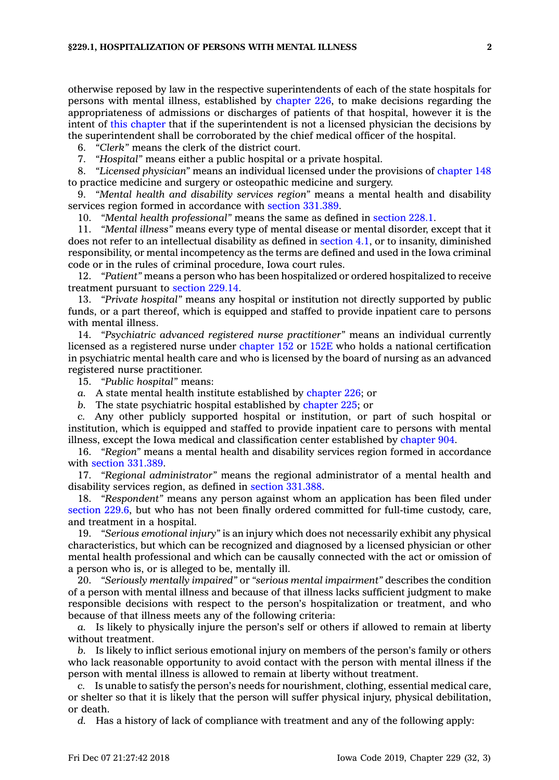otherwise reposed by law in the respective superintendents of each of the state hospitals for persons with mental illness, established by [chapter](https://www.legis.iowa.gov/docs/code//226.pdf) 226, to make decisions regarding the appropriateness of admissions or discharges of patients of that hospital, however it is the intent of this [chapter](https://www.legis.iowa.gov/docs/code//229.pdf) that if the superintendent is not <sup>a</sup> licensed physician the decisions by the superintendent shall be corroborated by the chief medical officer of the hospital.

6. *"Clerk"* means the clerk of the district court.

7. *"Hospital"* means either <sup>a</sup> public hospital or <sup>a</sup> private hospital.

8. *"Licensed physician"* means an individual licensed under the provisions of [chapter](https://www.legis.iowa.gov/docs/code//148.pdf) 148 to practice medicine and surgery or osteopathic medicine and surgery.

9. *"Mental health and disability services region"* means <sup>a</sup> mental health and disability services region formed in accordance with section [331.389](https://www.legis.iowa.gov/docs/code/331.389.pdf).

10. *"Mental health professional"* means the same as defined in [section](https://www.legis.iowa.gov/docs/code/228.1.pdf) 228.1.

11. *"Mental illness"* means every type of mental disease or mental disorder, except that it does not refer to an intellectual disability as defined in [section](https://www.legis.iowa.gov/docs/code/4.1.pdf) 4.1, or to insanity, diminished responsibility, or mental incompetency as the terms are defined and used in the Iowa criminal code or in the rules of criminal procedure, Iowa court rules.

12. *"Patient"* means <sup>a</sup> person who has been hospitalized or ordered hospitalized to receive treatment pursuant to [section](https://www.legis.iowa.gov/docs/code/229.14.pdf) 229.14.

13. *"Private hospital"* means any hospital or institution not directly supported by public funds, or <sup>a</sup> part thereof, which is equipped and staffed to provide inpatient care to persons with mental illness.

14. *"Psychiatric advanced registered nurse practitioner"* means an individual currently licensed as <sup>a</sup> registered nurse under [chapter](https://www.legis.iowa.gov/docs/code//152.pdf) 152 or [152E](https://www.legis.iowa.gov/docs/code//152E.pdf) who holds <sup>a</sup> national certification in psychiatric mental health care and who is licensed by the board of nursing as an advanced registered nurse practitioner.

15. *"Public hospital"* means:

*a.* A state mental health institute established by [chapter](https://www.legis.iowa.gov/docs/code//226.pdf) 226; or

*b.* The state psychiatric hospital established by [chapter](https://www.legis.iowa.gov/docs/code//225.pdf) 225; or

*c.* Any other publicly supported hospital or institution, or part of such hospital or institution, which is equipped and staffed to provide inpatient care to persons with mental illness, except the Iowa medical and classification center established by [chapter](https://www.legis.iowa.gov/docs/code//904.pdf) 904.

16. *"Region"* means <sup>a</sup> mental health and disability services region formed in accordance with section [331.389](https://www.legis.iowa.gov/docs/code/331.389.pdf).

17. *"Regional administrator"* means the regional administrator of <sup>a</sup> mental health and disability services region, as defined in section [331.388](https://www.legis.iowa.gov/docs/code/331.388.pdf).

18. *"Respondent"* means any person against whom an application has been filed under [section](https://www.legis.iowa.gov/docs/code/229.6.pdf) 229.6, but who has not been finally ordered committed for full-time custody, care, and treatment in <sup>a</sup> hospital.

19. *"Serious emotional injury"* is an injury which does not necessarily exhibit any physical characteristics, but which can be recognized and diagnosed by <sup>a</sup> licensed physician or other mental health professional and which can be causally connected with the act or omission of <sup>a</sup> person who is, or is alleged to be, mentally ill.

20. *"Seriously mentally impaired"* or *"serious mental impairment"* describes the condition of <sup>a</sup> person with mental illness and because of that illness lacks sufficient judgment to make responsible decisions with respect to the person's hospitalization or treatment, and who because of that illness meets any of the following criteria:

*a.* Is likely to physically injure the person's self or others if allowed to remain at liberty without treatment.

*b.* Is likely to inflict serious emotional injury on members of the person's family or others who lack reasonable opportunity to avoid contact with the person with mental illness if the person with mental illness is allowed to remain at liberty without treatment.

*c.* Is unable to satisfy the person's needs for nourishment, clothing, essential medical care, or shelter so that it is likely that the person will suffer physical injury, physical debilitation, or death.

*d.* Has <sup>a</sup> history of lack of compliance with treatment and any of the following apply: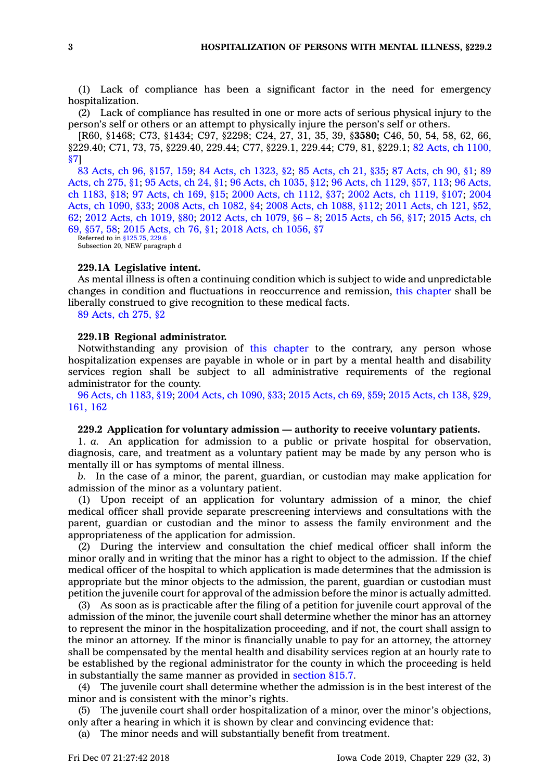(1) Lack of compliance has been <sup>a</sup> significant factor in the need for emergency hospitalization.

(2) Lack of compliance has resulted in one or more acts of serious physical injury to the person's self or others or an attempt to physically injure the person's self or others.

[R60, §1468; C73, §1434; C97, §2298; C24, 27, 31, 35, 39, §**3580;** C46, 50, 54, 58, 62, 66, §229.40; C71, 73, 75, §229.40, 229.44; C77, §229.1, 229.44; C79, 81, §229.1; 82 Acts, ch [1100,](https://www.legis.iowa.gov/docs/acts/1982/CH1100.pdf) [§7](https://www.legis.iowa.gov/docs/acts/1982/CH1100.pdf)]

83 Acts, ch 96, [§157,](https://www.legis.iowa.gov/docs/acts/83/CH0096.pdf) 159; 84 Acts, ch [1323,](https://www.legis.iowa.gov/docs/acts/84/CH1323.pdf) §2; 85 [Acts,](https://www.legis.iowa.gov/docs/acts/85/CH0021.pdf) ch 21, §35; 87 [Acts,](https://www.legis.iowa.gov/docs/acts/87/CH0090.pdf) ch 90, §1; [89](https://www.legis.iowa.gov/docs/acts/89/CH0275.pdf) [Acts,](https://www.legis.iowa.gov/docs/acts/89/CH0275.pdf) ch 275, §1; 95 [Acts,](https://www.legis.iowa.gov/docs/acts/95/CH0024.pdf) ch 24, §1; 96 Acts, ch [1035,](https://www.legis.iowa.gov/docs/acts/96/CH1035.pdf) §12; 96 Acts, ch [1129,](https://www.legis.iowa.gov/docs/acts/96/CH1129.pdf) §57, 113; 96 [Acts,](https://www.legis.iowa.gov/docs/acts/96/CH1183.pdf) ch [1183,](https://www.legis.iowa.gov/docs/acts/96/CH1183.pdf) §18; 97 [Acts,](https://www.legis.iowa.gov/docs/acts/97/CH0169.pdf) ch 169, §15; 2000 Acts, ch [1112,](https://www.legis.iowa.gov/docs/acts/2000/CH1112.pdf) §37; 2002 Acts, ch [1119,](https://www.legis.iowa.gov/docs/acts/2002/CH1119.pdf) §107; [2004](https://www.legis.iowa.gov/docs/acts/2004/CH1090.pdf) Acts, ch [1090,](https://www.legis.iowa.gov/docs/acts/2004/CH1090.pdf) §33; 2008 Acts, ch [1082,](https://www.legis.iowa.gov/docs/acts/2008/CH1082.pdf) §4; 2008 Acts, ch [1088,](https://www.legis.iowa.gov/docs/acts/2008/CH1088.pdf) §112; 2011 [Acts,](https://www.legis.iowa.gov/docs/acts/2011/CH0121.pdf) ch 121, §52, [62](https://www.legis.iowa.gov/docs/acts/2011/CH0121.pdf); 2012 Acts, ch [1019,](https://www.legis.iowa.gov/docs/acts/2012/CH1019.pdf) §80; 2012 Acts, ch [1079,](https://www.legis.iowa.gov/docs/acts/2012/CH1079.pdf) §6 – 8; 2015 [Acts,](https://www.legis.iowa.gov/docs/acts/2015/CH0056.pdf) ch 56, §17; 2015 [Acts,](https://www.legis.iowa.gov/docs/acts/2015/CH0069.pdf) ch 69, [§57,](https://www.legis.iowa.gov/docs/acts/2015/CH0069.pdf) 58; 2015 [Acts,](https://www.legis.iowa.gov/docs/acts/2015/CH0076.pdf) ch 76, §1; 2018 Acts, ch [1056,](https://www.legis.iowa.gov/docs/acts/2018/CH1056.pdf) §7

Referred to in [§125.75](https://www.legis.iowa.gov/docs/code/125.75.pdf), [229.6](https://www.legis.iowa.gov/docs/code/229.6.pdf) Subsection 20, NEW paragraph d

#### **229.1A Legislative intent.**

As mental illness is often <sup>a</sup> continuing condition which is subject to wide and unpredictable changes in condition and fluctuations in reoccurrence and remission, this [chapter](https://www.legis.iowa.gov/docs/code//229.pdf) shall be liberally construed to give recognition to these medical facts.

89 [Acts,](https://www.legis.iowa.gov/docs/acts/1989/CH0275.pdf) ch 275, §2

## **229.1B Regional administrator.**

Notwithstanding any provision of this [chapter](https://www.legis.iowa.gov/docs/code//229.pdf) to the contrary, any person whose hospitalization expenses are payable in whole or in part by <sup>a</sup> mental health and disability services region shall be subject to all administrative requirements of the regional administrator for the county.

96 Acts, ch [1183,](https://www.legis.iowa.gov/docs/acts/96/CH1183.pdf) §19; 2004 Acts, ch [1090,](https://www.legis.iowa.gov/docs/acts/2004/CH1090.pdf) §33; 2015 [Acts,](https://www.legis.iowa.gov/docs/acts/2015/CH0069.pdf) ch 69, §59; 2015 [Acts,](https://www.legis.iowa.gov/docs/acts/2015/CH0138.pdf) ch 138, §29, [161,](https://www.legis.iowa.gov/docs/acts/2015/CH0138.pdf) 162

#### **229.2 Application for voluntary admission — authority to receive voluntary patients.**

1. *a.* An application for admission to <sup>a</sup> public or private hospital for observation, diagnosis, care, and treatment as <sup>a</sup> voluntary patient may be made by any person who is mentally ill or has symptoms of mental illness.

*b.* In the case of <sup>a</sup> minor, the parent, guardian, or custodian may make application for admission of the minor as <sup>a</sup> voluntary patient.

(1) Upon receipt of an application for voluntary admission of <sup>a</sup> minor, the chief medical officer shall provide separate prescreening interviews and consultations with the parent, guardian or custodian and the minor to assess the family environment and the appropriateness of the application for admission.

(2) During the interview and consultation the chief medical officer shall inform the minor orally and in writing that the minor has <sup>a</sup> right to object to the admission. If the chief medical officer of the hospital to which application is made determines that the admission is appropriate but the minor objects to the admission, the parent, guardian or custodian must petition the juvenile court for approval of the admission before the minor is actually admitted.

(3) As soon as is practicable after the filing of <sup>a</sup> petition for juvenile court approval of the admission of the minor, the juvenile court shall determine whether the minor has an attorney to represent the minor in the hospitalization proceeding, and if not, the court shall assign to the minor an attorney. If the minor is financially unable to pay for an attorney, the attorney shall be compensated by the mental health and disability services region at an hourly rate to be established by the regional administrator for the county in which the proceeding is held in substantially the same manner as provided in [section](https://www.legis.iowa.gov/docs/code/815.7.pdf) 815.7.

(4) The juvenile court shall determine whether the admission is in the best interest of the minor and is consistent with the minor's rights.

(5) The juvenile court shall order hospitalization of <sup>a</sup> minor, over the minor's objections, only after <sup>a</sup> hearing in which it is shown by clear and convincing evidence that:

(a) The minor needs and will substantially benefit from treatment.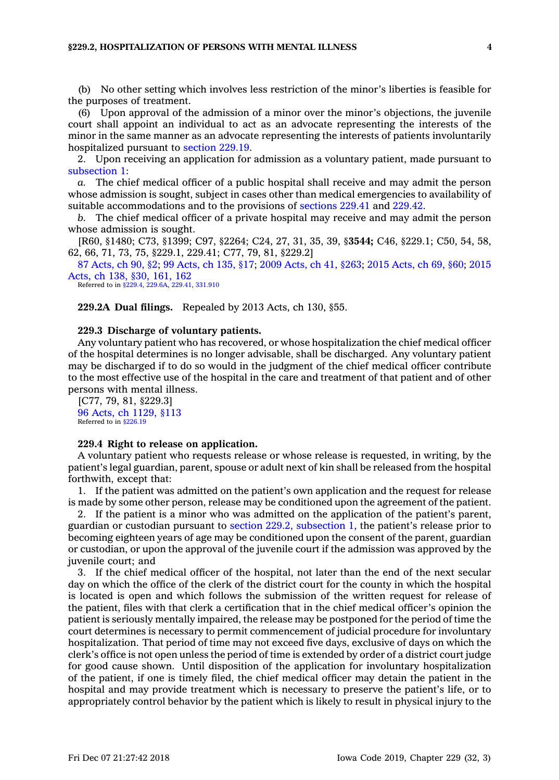### **§229.2, HOSPITALIZATION OF PERSONS WITH MENTAL ILLNESS 4**

(b) No other setting which involves less restriction of the minor's liberties is feasible for the purposes of treatment.

(6) Upon approval of the admission of <sup>a</sup> minor over the minor's objections, the juvenile court shall appoint an individual to act as an advocate representing the interests of the minor in the same manner as an advocate representing the interests of patients involuntarily hospitalized pursuant to [section](https://www.legis.iowa.gov/docs/code/229.19.pdf) 229.19.

2. Upon receiving an application for admission as <sup>a</sup> voluntary patient, made pursuant to [subsection](https://www.legis.iowa.gov/docs/code/229.2.pdf) 1:

*a.* The chief medical officer of <sup>a</sup> public hospital shall receive and may admit the person whose admission is sought, subject in cases other than medical emergencies to availability of suitable accommodations and to the provisions of [sections](https://www.legis.iowa.gov/docs/code/229.41.pdf) 229.41 and [229.42](https://www.legis.iowa.gov/docs/code/229.42.pdf).

*b.* The chief medical officer of <sup>a</sup> private hospital may receive and may admit the person whose admission is sought.

[R60, §1480; C73, §1399; C97, §2264; C24, 27, 31, 35, 39, §**3544;** C46, §229.1; C50, 54, 58, 62, 66, 71, 73, 75, §229.1, 229.41; C77, 79, 81, §229.2]

87 [Acts,](https://www.legis.iowa.gov/docs/acts/87/CH0090.pdf) ch 90, §2; 99 [Acts,](https://www.legis.iowa.gov/docs/acts/99/CH0135.pdf) ch 135, §17; 2009 [Acts,](https://www.legis.iowa.gov/docs/acts/2009/CH0041.pdf) ch 41, §263; 2015 [Acts,](https://www.legis.iowa.gov/docs/acts/2015/CH0069.pdf) ch 69, §60; [2015](https://www.legis.iowa.gov/docs/acts/2015/CH0138.pdf) [Acts,](https://www.legis.iowa.gov/docs/acts/2015/CH0138.pdf) ch 138, §30, 161, 162

Referred to in [§229.4](https://www.legis.iowa.gov/docs/code/229.4.pdf), [229.6A](https://www.legis.iowa.gov/docs/code/229.6A.pdf), [229.41](https://www.legis.iowa.gov/docs/code/229.41.pdf), [331.910](https://www.legis.iowa.gov/docs/code/331.910.pdf)

**229.2A Dual filings.** Repealed by 2013 Acts, ch 130, §55.

## **229.3 Discharge of voluntary patients.**

Any voluntary patient who has recovered, or whose hospitalization the chief medical officer of the hospital determines is no longer advisable, shall be discharged. Any voluntary patient may be discharged if to do so would in the judgment of the chief medical officer contribute to the most effective use of the hospital in the care and treatment of that patient and of other persons with mental illness.

[C77, 79, 81, §229.3] 96 Acts, ch [1129,](https://www.legis.iowa.gov/docs/acts/1996/CH1129.pdf) §113 Referred to in [§226.19](https://www.legis.iowa.gov/docs/code/226.19.pdf)

## **229.4 Right to release on application.**

A voluntary patient who requests release or whose release is requested, in writing, by the patient's legal guardian, parent, spouse or adult next of kin shall be released from the hospital forthwith, except that:

1. If the patient was admitted on the patient's own application and the request for release is made by some other person, release may be conditioned upon the agreement of the patient.

2. If the patient is <sup>a</sup> minor who was admitted on the application of the patient's parent, guardian or custodian pursuant to section 229.2, [subsection](https://www.legis.iowa.gov/docs/code/229.2.pdf) 1, the patient's release prior to becoming eighteen years of age may be conditioned upon the consent of the parent, guardian or custodian, or upon the approval of the juvenile court if the admission was approved by the juvenile court; and

3. If the chief medical officer of the hospital, not later than the end of the next secular day on which the office of the clerk of the district court for the county in which the hospital is located is open and which follows the submission of the written request for release of the patient, files with that clerk <sup>a</sup> certification that in the chief medical officer's opinion the patient is seriously mentally impaired, the release may be postponed for the period of time the court determines is necessary to permit commencement of judicial procedure for involuntary hospitalization. That period of time may not exceed five days, exclusive of days on which the clerk's office is not open unless the period of time is extended by order of <sup>a</sup> district court judge for good cause shown. Until disposition of the application for involuntary hospitalization of the patient, if one is timely filed, the chief medical officer may detain the patient in the hospital and may provide treatment which is necessary to preserve the patient's life, or to appropriately control behavior by the patient which is likely to result in physical injury to the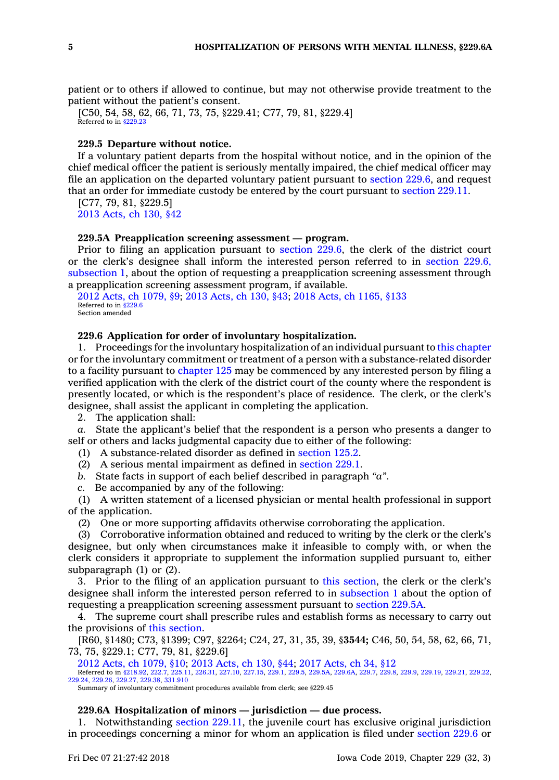patient or to others if allowed to continue, but may not otherwise provide treatment to the patient without the patient's consent.

[C50, 54, 58, 62, 66, 71, 73, 75, §229.41; C77, 79, 81, §229.4]<br>Referred to in [§229.23](https://www.legis.iowa.gov/docs/code/229.23.pdf)

## **229.5 Departure without notice.**

If <sup>a</sup> voluntary patient departs from the hospital without notice, and in the opinion of the chief medical officer the patient is seriously mentally impaired, the chief medical officer may file an application on the departed voluntary patient pursuant to [section](https://www.legis.iowa.gov/docs/code/229.6.pdf) 229.6, and request that an order for immediate custody be entered by the court pursuant to [section](https://www.legis.iowa.gov/docs/code/229.11.pdf) 229.11.

[C77, 79, 81, §229.5] 2013 [Acts,](https://www.legis.iowa.gov/docs/acts/2013/CH0130.pdf) ch 130, §42

## **229.5A Preapplication screening assessment — program.**

Prior to filing an application pursuant to [section](https://www.legis.iowa.gov/docs/code/229.6.pdf) 229.6, the clerk of the district court or the clerk's designee shall inform the interested person referred to in [section](https://www.legis.iowa.gov/docs/code/229.6.pdf) 229.6, [subsection](https://www.legis.iowa.gov/docs/code/229.6.pdf) 1, about the option of requesting <sup>a</sup> preapplication screening assessment through <sup>a</sup> preapplication screening assessment program, if available.

2012 Acts, ch [1079,](https://www.legis.iowa.gov/docs/acts/2012/CH1079.pdf) §9; 2013 [Acts,](https://www.legis.iowa.gov/docs/acts/2013/CH0130.pdf) ch 130, §43; 2018 Acts, ch [1165,](https://www.legis.iowa.gov/docs/acts/2018/CH1165.pdf) §133 Referred to in [§229.6](https://www.legis.iowa.gov/docs/code/229.6.pdf) Section amended

#### **229.6 Application for order of involuntary hospitalization.**

1. Proceedings for the involuntary hospitalization of an individual pursuant to this [chapter](https://www.legis.iowa.gov/docs/code//229.pdf) or for the involuntary commitment or treatment of <sup>a</sup> person with <sup>a</sup> substance-related disorder to <sup>a</sup> facility pursuant to [chapter](https://www.legis.iowa.gov/docs/code//125.pdf) 125 may be commenced by any interested person by filing <sup>a</sup> verified application with the clerk of the district court of the county where the respondent is presently located, or which is the respondent's place of residence. The clerk, or the clerk's designee, shall assist the applicant in completing the application.

2. The application shall:

*a.* State the applicant's belief that the respondent is <sup>a</sup> person who presents <sup>a</sup> danger to self or others and lacks judgmental capacity due to either of the following:

(1) A substance-related disorder as defined in [section](https://www.legis.iowa.gov/docs/code/125.2.pdf) 125.2.

- (2) A serious mental impairment as defined in [section](https://www.legis.iowa.gov/docs/code/229.1.pdf) 229.1.
- *b.* State facts in support of each belief described in paragraph *"a"*.
- *c.* Be accompanied by any of the following:

(1) A written statement of <sup>a</sup> licensed physician or mental health professional in support of the application.

(2) One or more supporting affidavits otherwise corroborating the application.

(3) Corroborative information obtained and reduced to writing by the clerk or the clerk's designee, but only when circumstances make it infeasible to comply with, or when the clerk considers it appropriate to supplement the information supplied pursuant to, either subparagraph (1) or (2).

3. Prior to the filing of an application pursuant to this [section](https://www.legis.iowa.gov/docs/code/229.6.pdf), the clerk or the clerk's designee shall inform the interested person referred to in [subsection](https://www.legis.iowa.gov/docs/code/229.6.pdf) 1 about the option of requesting <sup>a</sup> preapplication screening assessment pursuant to [section](https://www.legis.iowa.gov/docs/code/229.5A.pdf) 229.5A.

4. The supreme court shall prescribe rules and establish forms as necessary to carry out the provisions of this [section](https://www.legis.iowa.gov/docs/code/229.6.pdf).

[R60, §1480; C73, §1399; C97, §2264; C24, 27, 31, 35, 39, §**3544;** C46, 50, 54, 58, 62, 66, 71, 73, 75, §229.1; C77, 79, 81, §229.6]

2012 Acts, ch [1079,](https://www.legis.iowa.gov/docs/acts/2012/CH1079.pdf) §10; 2013 [Acts,](https://www.legis.iowa.gov/docs/acts/2013/CH0130.pdf) ch 130, §44; 2017 [Acts,](https://www.legis.iowa.gov/docs/acts/2017/CH0034.pdf) ch 34, §12 Referred to in [§218.92](https://www.legis.iowa.gov/docs/code/218.92.pdf), [222.7](https://www.legis.iowa.gov/docs/code/222.7.pdf), [225.11,](https://www.legis.iowa.gov/docs/code/225.11.pdf) [226.31](https://www.legis.iowa.gov/docs/code/226.31.pdf), [227.10](https://www.legis.iowa.gov/docs/code/227.10.pdf), [227.15](https://www.legis.iowa.gov/docs/code/227.15.pdf), [229.1,](https://www.legis.iowa.gov/docs/code/229.1.pdf) [229.5](https://www.legis.iowa.gov/docs/code/229.5.pdf), [229.5A](https://www.legis.iowa.gov/docs/code/229.5A.pdf), [229.6A](https://www.legis.iowa.gov/docs/code/229.6A.pdf), [229.7](https://www.legis.iowa.gov/docs/code/229.7.pdf), [229.8](https://www.legis.iowa.gov/docs/code/229.8.pdf), [229.9](https://www.legis.iowa.gov/docs/code/229.9.pdf), [229.19](https://www.legis.iowa.gov/docs/code/229.19.pdf), [229.21,](https://www.legis.iowa.gov/docs/code/229.21.pdf) [229.22](https://www.legis.iowa.gov/docs/code/229.22.pdf), [229.24](https://www.legis.iowa.gov/docs/code/229.24.pdf), [229.26](https://www.legis.iowa.gov/docs/code/229.26.pdf), [229.27](https://www.legis.iowa.gov/docs/code/229.27.pdf), [229.38](https://www.legis.iowa.gov/docs/code/229.38.pdf), [331.910](https://www.legis.iowa.gov/docs/code/331.910.pdf)

Summary of involuntary commitment procedures available from clerk; see §229.45

### **229.6A Hospitalization of minors — jurisdiction — due process.**

1. Notwithstanding section [229.11](https://www.legis.iowa.gov/docs/code/229.11.pdf), the juvenile court has exclusive original jurisdiction in proceedings concerning <sup>a</sup> minor for whom an application is filed under [section](https://www.legis.iowa.gov/docs/code/229.6.pdf) 229.6 or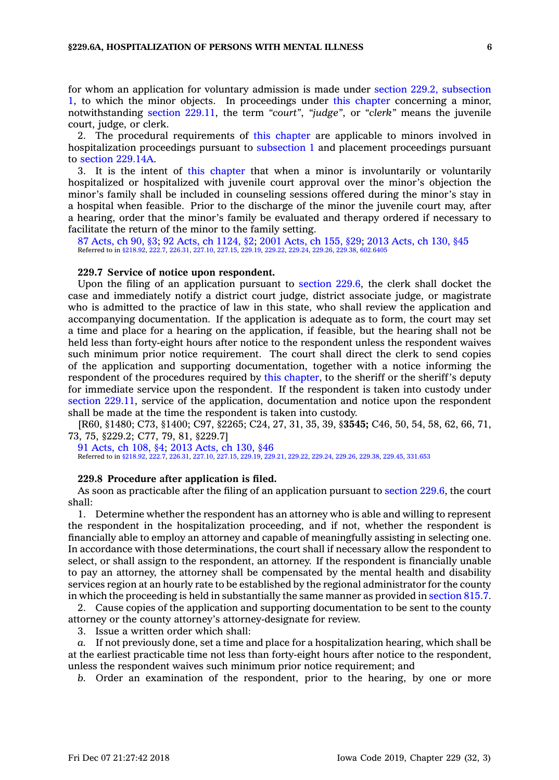for whom an application for voluntary admission is made under section 229.2, [subsection](https://www.legis.iowa.gov/docs/code/229.2.pdf) [1](https://www.legis.iowa.gov/docs/code/229.2.pdf), to which the minor objects. In proceedings under this [chapter](https://www.legis.iowa.gov/docs/code//229.pdf) concerning <sup>a</sup> minor, notwithstanding section [229.11](https://www.legis.iowa.gov/docs/code/229.11.pdf), the term *"court"*, *"judge"*, or *"clerk"* means the juvenile court, judge, or clerk.

2. The procedural requirements of this [chapter](https://www.legis.iowa.gov/docs/code//229.pdf) are applicable to minors involved in hospitalization proceedings pursuant to [subsection](https://www.legis.iowa.gov/docs/code/229.6A.pdf) 1 and placement proceedings pursuant to section [229.14A](https://www.legis.iowa.gov/docs/code/229.14A.pdf).

3. It is the intent of this [chapter](https://www.legis.iowa.gov/docs/code//229.pdf) that when <sup>a</sup> minor is involuntarily or voluntarily hospitalized or hospitalized with juvenile court approval over the minor's objection the minor's family shall be included in counseling sessions offered during the minor's stay in <sup>a</sup> hospital when feasible. Prior to the discharge of the minor the juvenile court may, after <sup>a</sup> hearing, order that the minor's family be evaluated and therapy ordered if necessary to facilitate the return of the minor to the family setting.

87 [Acts,](https://www.legis.iowa.gov/docs/acts/87/CH0090.pdf) ch 90, §3; 92 Acts, ch [1124,](https://www.legis.iowa.gov/docs/acts/92/CH1124.pdf) §2; 2001 [Acts,](https://www.legis.iowa.gov/docs/acts/2001/CH0155.pdf) ch 155, §29; 2013 [Acts,](https://www.legis.iowa.gov/docs/acts/2013/CH0130.pdf) ch 130, §45 Referred to in [§218.92](https://www.legis.iowa.gov/docs/code/218.92.pdf), [222.7](https://www.legis.iowa.gov/docs/code/222.7.pdf), [226.31](https://www.legis.iowa.gov/docs/code/226.31.pdf), [227.10](https://www.legis.iowa.gov/docs/code/227.10.pdf), [227.15,](https://www.legis.iowa.gov/docs/code/227.15.pdf) [229.19](https://www.legis.iowa.gov/docs/code/229.19.pdf), [229.22](https://www.legis.iowa.gov/docs/code/229.22.pdf), [229.24](https://www.legis.iowa.gov/docs/code/229.24.pdf), [229.26,](https://www.legis.iowa.gov/docs/code/229.26.pdf) [229.38](https://www.legis.iowa.gov/docs/code/229.38.pdf), [602.6405](https://www.legis.iowa.gov/docs/code/602.6405.pdf)

#### **229.7 Service of notice upon respondent.**

Upon the filing of an application pursuant to [section](https://www.legis.iowa.gov/docs/code/229.6.pdf) 229.6, the clerk shall docket the case and immediately notify <sup>a</sup> district court judge, district associate judge, or magistrate who is admitted to the practice of law in this state, who shall review the application and accompanying documentation. If the application is adequate as to form, the court may set <sup>a</sup> time and place for <sup>a</sup> hearing on the application, if feasible, but the hearing shall not be held less than forty-eight hours after notice to the respondent unless the respondent waives such minimum prior notice requirement. The court shall direct the clerk to send copies of the application and supporting documentation, together with <sup>a</sup> notice informing the respondent of the procedures required by this [chapter](https://www.legis.iowa.gov/docs/code//229.pdf), to the sheriff or the sheriff's deputy for immediate service upon the respondent. If the respondent is taken into custody under section [229.11](https://www.legis.iowa.gov/docs/code/229.11.pdf), service of the application, documentation and notice upon the respondent shall be made at the time the respondent is taken into custody.

[R60, §1480; C73, §1400; C97, §2265; C24, 27, 31, 35, 39, §**3545;** C46, 50, 54, 58, 62, 66, 71, 73, 75, §229.2; C77, 79, 81, §229.7]

91 [Acts,](https://www.legis.iowa.gov/docs/acts/91/CH0108.pdf) ch 108, §4; 2013 [Acts,](https://www.legis.iowa.gov/docs/acts/2013/CH0130.pdf) ch 130, §46 Referred to in [§218.92](https://www.legis.iowa.gov/docs/code/218.92.pdf), [222.7](https://www.legis.iowa.gov/docs/code/222.7.pdf), [226.31](https://www.legis.iowa.gov/docs/code/226.31.pdf), [227.10](https://www.legis.iowa.gov/docs/code/227.10.pdf), [227.15](https://www.legis.iowa.gov/docs/code/227.15.pdf), [229.19](https://www.legis.iowa.gov/docs/code/229.19.pdf), [229.21](https://www.legis.iowa.gov/docs/code/229.21.pdf), [229.22](https://www.legis.iowa.gov/docs/code/229.22.pdf), [229.24](https://www.legis.iowa.gov/docs/code/229.24.pdf), [229.26](https://www.legis.iowa.gov/docs/code/229.26.pdf), [229.38](https://www.legis.iowa.gov/docs/code/229.38.pdf), [229.45,](https://www.legis.iowa.gov/docs/code/229.45.pdf) [331.653](https://www.legis.iowa.gov/docs/code/331.653.pdf)

#### **229.8 Procedure after application is filed.**

As soon as practicable after the filing of an application pursuant to [section](https://www.legis.iowa.gov/docs/code/229.6.pdf) 229.6, the court shall:

1. Determine whether the respondent has an attorney who is able and willing to represent the respondent in the hospitalization proceeding, and if not, whether the respondent is financially able to employ an attorney and capable of meaningfully assisting in selecting one. In accordance with those determinations, the court shall if necessary allow the respondent to select, or shall assign to the respondent, an attorney. If the respondent is financially unable to pay an attorney, the attorney shall be compensated by the mental health and disability services region at an hourly rate to be established by the regional administrator for the county in which the proceeding is held in substantially the same manner as provided in [section](https://www.legis.iowa.gov/docs/code/815.7.pdf) 815.7.

2. Cause copies of the application and supporting documentation to be sent to the county attorney or the county attorney's attorney-designate for review.

3. Issue <sup>a</sup> written order which shall:

*a.* If not previously done, set <sup>a</sup> time and place for <sup>a</sup> hospitalization hearing, which shall be at the earliest practicable time not less than forty-eight hours after notice to the respondent, unless the respondent waives such minimum prior notice requirement; and

*b.* Order an examination of the respondent, prior to the hearing, by one or more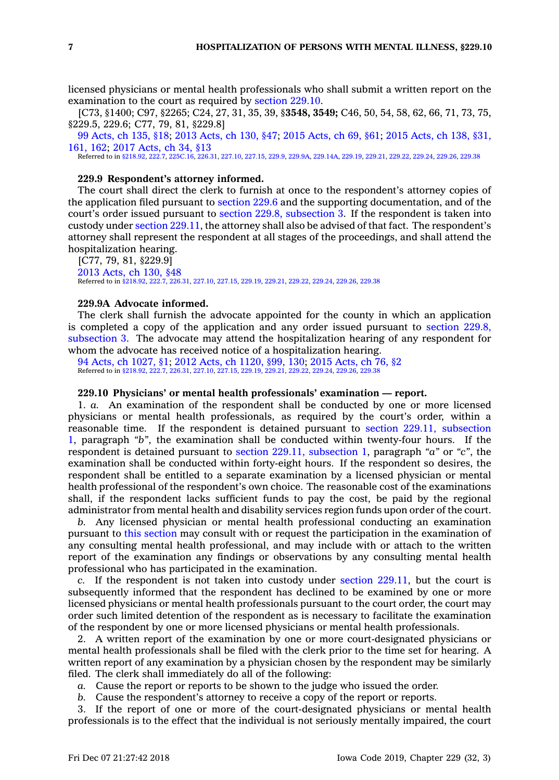licensed physicians or mental health professionals who shall submit <sup>a</sup> written report on the examination to the court as required by [section](https://www.legis.iowa.gov/docs/code/229.10.pdf) 229.10.

[C73, §1400; C97, §2265; C24, 27, 31, 35, 39, §**3548, 3549;** C46, 50, 54, 58, 62, 66, 71, 73, 75, §229.5, 229.6; C77, 79, 81, §229.8]

99 [Acts,](https://www.legis.iowa.gov/docs/acts/99/CH0135.pdf) ch 135, §18; 2013 [Acts,](https://www.legis.iowa.gov/docs/acts/2013/CH0130.pdf) ch 130, §47; 2015 [Acts,](https://www.legis.iowa.gov/docs/acts/2015/CH0069.pdf) ch 69, §61; 2015 [Acts,](https://www.legis.iowa.gov/docs/acts/2015/CH0138.pdf) ch 138, §31, [161,](https://www.legis.iowa.gov/docs/acts/2015/CH0138.pdf) 162; 2017 [Acts,](https://www.legis.iowa.gov/docs/acts/2017/CH0034.pdf) ch 34, §13

Referred to in [§218.92](https://www.legis.iowa.gov/docs/code/218.92.pdf), [222.7](https://www.legis.iowa.gov/docs/code/222.7.pdf), [225C.16](https://www.legis.iowa.gov/docs/code/225C.16.pdf), [226.31](https://www.legis.iowa.gov/docs/code/226.31.pdf), [227.10](https://www.legis.iowa.gov/docs/code/227.10.pdf), [227.15](https://www.legis.iowa.gov/docs/code/227.15.pdf), [229.9](https://www.legis.iowa.gov/docs/code/229.9.pdf), [229.9A](https://www.legis.iowa.gov/docs/code/229.9A.pdf), [229.14A](https://www.legis.iowa.gov/docs/code/229.14A.pdf), [229.19](https://www.legis.iowa.gov/docs/code/229.19.pdf), [229.21](https://www.legis.iowa.gov/docs/code/229.21.pdf), [229.22](https://www.legis.iowa.gov/docs/code/229.22.pdf), [229.24,](https://www.legis.iowa.gov/docs/code/229.24.pdf) [229.26](https://www.legis.iowa.gov/docs/code/229.26.pdf), [229.38](https://www.legis.iowa.gov/docs/code/229.38.pdf)

## **229.9 Respondent's attorney informed.**

The court shall direct the clerk to furnish at once to the respondent's attorney copies of the application filed pursuant to [section](https://www.legis.iowa.gov/docs/code/229.6.pdf) 229.6 and the supporting documentation, and of the court's order issued pursuant to section 229.8, [subsection](https://www.legis.iowa.gov/docs/code/229.8.pdf) 3. If the respondent is taken into custody under section [229.11](https://www.legis.iowa.gov/docs/code/229.11.pdf), the attorney shall also be advised of that fact. The respondent's attorney shall represent the respondent at all stages of the proceedings, and shall attend the hospitalization hearing.

[C77, 79, 81, §229.9] 2013 [Acts,](https://www.legis.iowa.gov/docs/acts/2013/CH0130.pdf) ch 130, §48 Referred to in [§218.92](https://www.legis.iowa.gov/docs/code/218.92.pdf), [222.7](https://www.legis.iowa.gov/docs/code/222.7.pdf), [226.31](https://www.legis.iowa.gov/docs/code/226.31.pdf), [227.10](https://www.legis.iowa.gov/docs/code/227.10.pdf), [227.15](https://www.legis.iowa.gov/docs/code/227.15.pdf), [229.19](https://www.legis.iowa.gov/docs/code/229.19.pdf), [229.21](https://www.legis.iowa.gov/docs/code/229.21.pdf), [229.22](https://www.legis.iowa.gov/docs/code/229.22.pdf), [229.24](https://www.legis.iowa.gov/docs/code/229.24.pdf), [229.26](https://www.legis.iowa.gov/docs/code/229.26.pdf), [229.38](https://www.legis.iowa.gov/docs/code/229.38.pdf)

#### **229.9A Advocate informed.**

The clerk shall furnish the advocate appointed for the county in which an application is completed <sup>a</sup> copy of the application and any order issued pursuant to [section](https://www.legis.iowa.gov/docs/code/229.8.pdf) 229.8, [subsection](https://www.legis.iowa.gov/docs/code/229.8.pdf) 3. The advocate may attend the hospitalization hearing of any respondent for whom the advocate has received notice of <sup>a</sup> hospitalization hearing.

94 Acts, ch [1027,](https://www.legis.iowa.gov/docs/acts/94/CH1027.pdf) §1; 2012 Acts, ch [1120,](https://www.legis.iowa.gov/docs/acts/2012/CH1120.pdf) §99, 130; 2015 [Acts,](https://www.legis.iowa.gov/docs/acts/2015/CH0076.pdf) ch 76, §2 Referred to in [§218.92](https://www.legis.iowa.gov/docs/code/218.92.pdf), [222.7](https://www.legis.iowa.gov/docs/code/222.7.pdf), [226.31](https://www.legis.iowa.gov/docs/code/226.31.pdf), [227.10](https://www.legis.iowa.gov/docs/code/227.10.pdf), [227.15](https://www.legis.iowa.gov/docs/code/227.15.pdf), [229.19](https://www.legis.iowa.gov/docs/code/229.19.pdf), [229.21](https://www.legis.iowa.gov/docs/code/229.21.pdf), [229.22](https://www.legis.iowa.gov/docs/code/229.22.pdf), [229.24](https://www.legis.iowa.gov/docs/code/229.24.pdf), [229.26](https://www.legis.iowa.gov/docs/code/229.26.pdf), [229.38](https://www.legis.iowa.gov/docs/code/229.38.pdf)

## **229.10 Physicians' or mental health professionals' examination — report.**

1. *a.* An examination of the respondent shall be conducted by one or more licensed physicians or mental health professionals, as required by the court's order, within <sup>a</sup> reasonable time. If the respondent is detained pursuant to section 229.11, [subsection](https://www.legis.iowa.gov/docs/code/229.11.pdf) [1](https://www.legis.iowa.gov/docs/code/229.11.pdf), paragraph *"b"*, the examination shall be conducted within twenty-four hours. If the respondent is detained pursuant to section 229.11, [subsection](https://www.legis.iowa.gov/docs/code/229.11.pdf) 1, paragraph *"a"* or *"c"*, the examination shall be conducted within forty-eight hours. If the respondent so desires, the respondent shall be entitled to <sup>a</sup> separate examination by <sup>a</sup> licensed physician or mental health professional of the respondent's own choice. The reasonable cost of the examinations shall, if the respondent lacks sufficient funds to pay the cost, be paid by the regional administrator from mental health and disability services region funds upon order of the court.

*b.* Any licensed physician or mental health professional conducting an examination pursuant to this [section](https://www.legis.iowa.gov/docs/code/229.10.pdf) may consult with or request the participation in the examination of any consulting mental health professional, and may include with or attach to the written report of the examination any findings or observations by any consulting mental health professional who has participated in the examination.

*c.* If the respondent is not taken into custody under section [229.11](https://www.legis.iowa.gov/docs/code/229.11.pdf), but the court is subsequently informed that the respondent has declined to be examined by one or more licensed physicians or mental health professionals pursuant to the court order, the court may order such limited detention of the respondent as is necessary to facilitate the examination of the respondent by one or more licensed physicians or mental health professionals.

2. A written report of the examination by one or more court-designated physicians or mental health professionals shall be filed with the clerk prior to the time set for hearing. A written report of any examination by <sup>a</sup> physician chosen by the respondent may be similarly filed. The clerk shall immediately do all of the following:

*a.* Cause the report or reports to be shown to the judge who issued the order.

*b.* Cause the respondent's attorney to receive <sup>a</sup> copy of the report or reports.

3. If the report of one or more of the court-designated physicians or mental health professionals is to the effect that the individual is not seriously mentally impaired, the court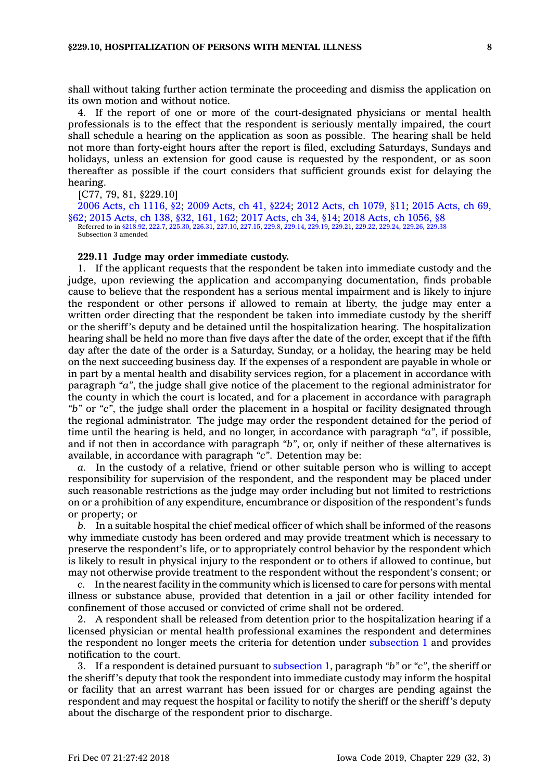shall without taking further action terminate the proceeding and dismiss the application on its own motion and without notice.

4. If the report of one or more of the court-designated physicians or mental health professionals is to the effect that the respondent is seriously mentally impaired, the court shall schedule <sup>a</sup> hearing on the application as soon as possible. The hearing shall be held not more than forty-eight hours after the report is filed, excluding Saturdays, Sundays and holidays, unless an extension for good cause is requested by the respondent, or as soon thereafter as possible if the court considers that sufficient grounds exist for delaying the hearing.

[C77, 79, 81, §229.10]

2006 Acts, ch [1116,](https://www.legis.iowa.gov/docs/acts/2006/CH1116.pdf) §2; 2009 [Acts,](https://www.legis.iowa.gov/docs/acts/2009/CH0041.pdf) ch 41, §224; 2012 Acts, ch [1079,](https://www.legis.iowa.gov/docs/acts/2012/CH1079.pdf) §11; 2015 [Acts,](https://www.legis.iowa.gov/docs/acts/2015/CH0069.pdf) ch 69, [§62](https://www.legis.iowa.gov/docs/acts/2015/CH0069.pdf); 2015 [Acts,](https://www.legis.iowa.gov/docs/acts/2015/CH0138.pdf) ch 138, §32, 161, 162; 2017 [Acts,](https://www.legis.iowa.gov/docs/acts/2017/CH0034.pdf) ch 34, §14; 2018 Acts, ch [1056,](https://www.legis.iowa.gov/docs/acts/2018/CH1056.pdf) §8 Referred to in [§218.92](https://www.legis.iowa.gov/docs/code/218.92.pdf), [222.7,](https://www.legis.iowa.gov/docs/code/222.7.pdf) [225.30](https://www.legis.iowa.gov/docs/code/225.30.pdf), [226.31](https://www.legis.iowa.gov/docs/code/226.31.pdf), [227.10](https://www.legis.iowa.gov/docs/code/227.10.pdf), [227.15](https://www.legis.iowa.gov/docs/code/227.15.pdf), [229.8](https://www.legis.iowa.gov/docs/code/229.8.pdf), [229.14](https://www.legis.iowa.gov/docs/code/229.14.pdf), [229.19](https://www.legis.iowa.gov/docs/code/229.19.pdf), [229.21,](https://www.legis.iowa.gov/docs/code/229.21.pdf) [229.22](https://www.legis.iowa.gov/docs/code/229.22.pdf), [229.24](https://www.legis.iowa.gov/docs/code/229.24.pdf), [229.26](https://www.legis.iowa.gov/docs/code/229.26.pdf), [229.38](https://www.legis.iowa.gov/docs/code/229.38.pdf) Subsection 3 amended

#### **229.11 Judge may order immediate custody.**

1. If the applicant requests that the respondent be taken into immediate custody and the judge, upon reviewing the application and accompanying documentation, finds probable cause to believe that the respondent has <sup>a</sup> serious mental impairment and is likely to injure the respondent or other persons if allowed to remain at liberty, the judge may enter <sup>a</sup> written order directing that the respondent be taken into immediate custody by the sheriff or the sheriff's deputy and be detained until the hospitalization hearing. The hospitalization hearing shall be held no more than five days after the date of the order, except that if the fifth day after the date of the order is <sup>a</sup> Saturday, Sunday, or <sup>a</sup> holiday, the hearing may be held on the next succeeding business day. If the expenses of <sup>a</sup> respondent are payable in whole or in part by <sup>a</sup> mental health and disability services region, for <sup>a</sup> placement in accordance with paragraph *"a"*, the judge shall give notice of the placement to the regional administrator for the county in which the court is located, and for <sup>a</sup> placement in accordance with paragraph *"b"* or *"c"*, the judge shall order the placement in <sup>a</sup> hospital or facility designated through the regional administrator. The judge may order the respondent detained for the period of time until the hearing is held, and no longer, in accordance with paragraph *"a"*, if possible, and if not then in accordance with paragraph *"b"*, or, only if neither of these alternatives is available, in accordance with paragraph *"c"*. Detention may be:

*a.* In the custody of <sup>a</sup> relative, friend or other suitable person who is willing to accept responsibility for supervision of the respondent, and the respondent may be placed under such reasonable restrictions as the judge may order including but not limited to restrictions on or <sup>a</sup> prohibition of any expenditure, encumbrance or disposition of the respondent's funds or property; or

*b.* In <sup>a</sup> suitable hospital the chief medical officer of which shall be informed of the reasons why immediate custody has been ordered and may provide treatment which is necessary to preserve the respondent's life, or to appropriately control behavior by the respondent which is likely to result in physical injury to the respondent or to others if allowed to continue, but may not otherwise provide treatment to the respondent without the respondent's consent; or

*c.* In the nearest facility in the community which is licensed to care for persons with mental illness or substance abuse, provided that detention in <sup>a</sup> jail or other facility intended for confinement of those accused or convicted of crime shall not be ordered.

2. A respondent shall be released from detention prior to the hospitalization hearing if <sup>a</sup> licensed physician or mental health professional examines the respondent and determines the respondent no longer meets the criteria for detention under [subsection](https://www.legis.iowa.gov/docs/code/229.11.pdf) 1 and provides notification to the court.

3. If <sup>a</sup> respondent is detained pursuant to [subsection](https://www.legis.iowa.gov/docs/code/229.11.pdf) 1, paragraph *"b"* or *"c"*, the sheriff or the sheriff's deputy that took the respondent into immediate custody may inform the hospital or facility that an arrest warrant has been issued for or charges are pending against the respondent and may request the hospital or facility to notify the sheriff or the sheriff's deputy about the discharge of the respondent prior to discharge.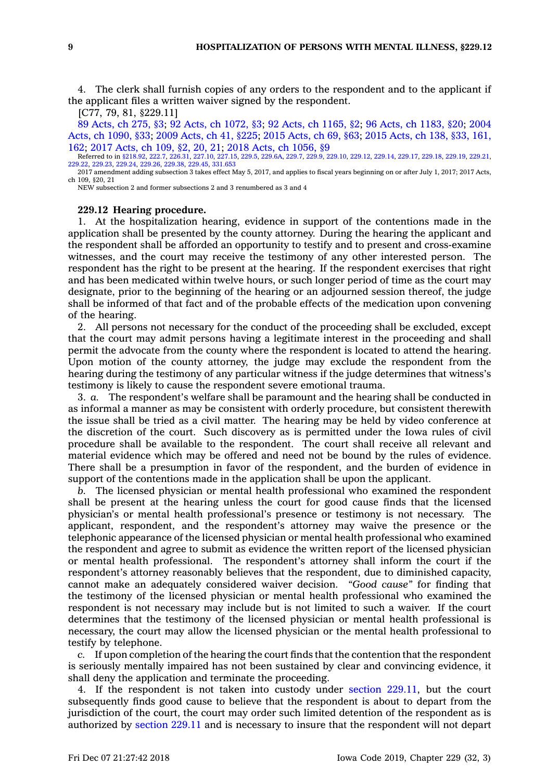4. The clerk shall furnish copies of any orders to the respondent and to the applicant if the applicant files <sup>a</sup> written waiver signed by the respondent.

[C77, 79, 81, §229.11]

89 [Acts,](https://www.legis.iowa.gov/docs/acts/89/CH0275.pdf) ch 275, §3; 92 Acts, ch [1072,](https://www.legis.iowa.gov/docs/acts/92/CH1072.pdf) §3; 92 Acts, ch [1165,](https://www.legis.iowa.gov/docs/acts/92/CH1165.pdf) §2; 96 Acts, ch [1183,](https://www.legis.iowa.gov/docs/acts/96/CH1183.pdf) §20; [2004](https://www.legis.iowa.gov/docs/acts/2004/CH1090.pdf) Acts, ch [1090,](https://www.legis.iowa.gov/docs/acts/2004/CH1090.pdf) §33; 2009 [Acts,](https://www.legis.iowa.gov/docs/acts/2009/CH0041.pdf) ch 41, §225; 2015 [Acts,](https://www.legis.iowa.gov/docs/acts/2015/CH0069.pdf) ch 69, §63; 2015 [Acts,](https://www.legis.iowa.gov/docs/acts/2015/CH0138.pdf) ch 138, §33, 161, [162](https://www.legis.iowa.gov/docs/acts/2015/CH0138.pdf); 2017 [Acts,](https://www.legis.iowa.gov/docs/acts/2017/CH0109.pdf) ch 109, §2, 20, 21; 2018 Acts, ch [1056,](https://www.legis.iowa.gov/docs/acts/2018/CH1056.pdf) §9

Referred to in [§218.92](https://www.legis.iowa.gov/docs/code/218.92.pdf), [222.7](https://www.legis.iowa.gov/docs/code/222.7.pdf), [226.31](https://www.legis.iowa.gov/docs/code/226.31.pdf), [227.10](https://www.legis.iowa.gov/docs/code/227.10.pdf), [227.15,](https://www.legis.iowa.gov/docs/code/227.15.pdf) [229.5](https://www.legis.iowa.gov/docs/code/229.5.pdf), [229.6A](https://www.legis.iowa.gov/docs/code/229.6A.pdf), [229.7,](https://www.legis.iowa.gov/docs/code/229.7.pdf) [229.9](https://www.legis.iowa.gov/docs/code/229.9.pdf), [229.10](https://www.legis.iowa.gov/docs/code/229.10.pdf), [229.12](https://www.legis.iowa.gov/docs/code/229.12.pdf), [229.14](https://www.legis.iowa.gov/docs/code/229.14.pdf), [229.17](https://www.legis.iowa.gov/docs/code/229.17.pdf), [229.18](https://www.legis.iowa.gov/docs/code/229.18.pdf), [229.19](https://www.legis.iowa.gov/docs/code/229.19.pdf), [229.21](https://www.legis.iowa.gov/docs/code/229.21.pdf), [229.22](https://www.legis.iowa.gov/docs/code/229.22.pdf), [229.23](https://www.legis.iowa.gov/docs/code/229.23.pdf), [229.24](https://www.legis.iowa.gov/docs/code/229.24.pdf), [229.26](https://www.legis.iowa.gov/docs/code/229.26.pdf), [229.38](https://www.legis.iowa.gov/docs/code/229.38.pdf), [229.45,](https://www.legis.iowa.gov/docs/code/229.45.pdf) [331.653](https://www.legis.iowa.gov/docs/code/331.653.pdf)

2017 amendment adding subsection 3 takes effect May 5, 2017, and applies to fiscal years beginning on or after July 1, 2017; 2017 Acts, ch 109, §20, 21

NEW subsection 2 and former subsections 2 and 3 renumbered as 3 and 4

## **229.12 Hearing procedure.**

1. At the hospitalization hearing, evidence in support of the contentions made in the application shall be presented by the county attorney. During the hearing the applicant and the respondent shall be afforded an opportunity to testify and to present and cross-examine witnesses, and the court may receive the testimony of any other interested person. The respondent has the right to be present at the hearing. If the respondent exercises that right and has been medicated within twelve hours, or such longer period of time as the court may designate, prior to the beginning of the hearing or an adjourned session thereof, the judge shall be informed of that fact and of the probable effects of the medication upon convening of the hearing.

2. All persons not necessary for the conduct of the proceeding shall be excluded, except that the court may admit persons having <sup>a</sup> legitimate interest in the proceeding and shall permit the advocate from the county where the respondent is located to attend the hearing. Upon motion of the county attorney, the judge may exclude the respondent from the hearing during the testimony of any particular witness if the judge determines that witness's testimony is likely to cause the respondent severe emotional trauma.

3. *a.* The respondent's welfare shall be paramount and the hearing shall be conducted in as informal <sup>a</sup> manner as may be consistent with orderly procedure, but consistent therewith the issue shall be tried as <sup>a</sup> civil matter. The hearing may be held by video conference at the discretion of the court. Such discovery as is permitted under the Iowa rules of civil procedure shall be available to the respondent. The court shall receive all relevant and material evidence which may be offered and need not be bound by the rules of evidence. There shall be <sup>a</sup> presumption in favor of the respondent, and the burden of evidence in support of the contentions made in the application shall be upon the applicant.

*b.* The licensed physician or mental health professional who examined the respondent shall be present at the hearing unless the court for good cause finds that the licensed physician's or mental health professional's presence or testimony is not necessary. The applicant, respondent, and the respondent's attorney may waive the presence or the telephonic appearance of the licensed physician or mental health professional who examined the respondent and agree to submit as evidence the written report of the licensed physician or mental health professional. The respondent's attorney shall inform the court if the respondent's attorney reasonably believes that the respondent, due to diminished capacity, cannot make an adequately considered waiver decision. *"Good cause"* for finding that the testimony of the licensed physician or mental health professional who examined the respondent is not necessary may include but is not limited to such <sup>a</sup> waiver. If the court determines that the testimony of the licensed physician or mental health professional is necessary, the court may allow the licensed physician or the mental health professional to testify by telephone.

*c.* If upon completion of the hearing the court finds that the contention that the respondent is seriously mentally impaired has not been sustained by clear and convincing evidence, it shall deny the application and terminate the proceeding.

4. If the respondent is not taken into custody under section [229.11](https://www.legis.iowa.gov/docs/code/229.11.pdf), but the court subsequently finds good cause to believe that the respondent is about to depart from the jurisdiction of the court, the court may order such limited detention of the respondent as is authorized by [section](https://www.legis.iowa.gov/docs/code/229.11.pdf) 229.11 and is necessary to insure that the respondent will not depart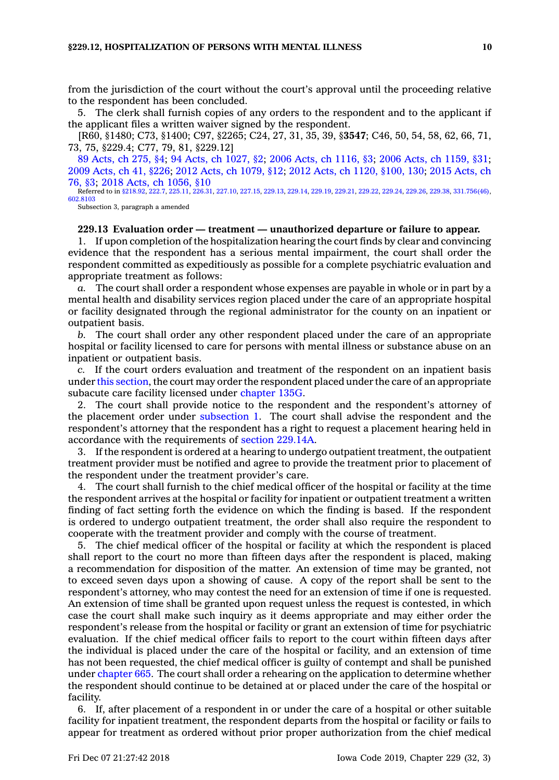from the jurisdiction of the court without the court's approval until the proceeding relative to the respondent has been concluded.

5. The clerk shall furnish copies of any orders to the respondent and to the applicant if the applicant files <sup>a</sup> written waiver signed by the respondent.

[R60, §1480; C73, §1400; C97, §2265; C24, 27, 31, 35, 39, §**3547**; C46, 50, 54, 58, 62, 66, 71, 73, 75, §229.4; C77, 79, 81, §229.12]

89 [Acts,](https://www.legis.iowa.gov/docs/acts/89/CH0275.pdf) ch 275, §4; 94 Acts, ch [1027,](https://www.legis.iowa.gov/docs/acts/94/CH1027.pdf) §2; 2006 Acts, ch [1116,](https://www.legis.iowa.gov/docs/acts/2006/CH1116.pdf) §3; 2006 Acts, ch [1159,](https://www.legis.iowa.gov/docs/acts/2006/CH1159.pdf) §31; 2009 [Acts,](https://www.legis.iowa.gov/docs/acts/2009/CH0041.pdf) ch 41, §226; 2012 Acts, ch [1079,](https://www.legis.iowa.gov/docs/acts/2012/CH1079.pdf) §12; 2012 Acts, ch 1120, [§100,](https://www.legis.iowa.gov/docs/acts/2012/CH1120.pdf) 130; 2015 [Acts,](https://www.legis.iowa.gov/docs/acts/2015/CH0076.pdf) ch [76,](https://www.legis.iowa.gov/docs/acts/2015/CH0076.pdf) §3; 2018 Acts, ch [1056,](https://www.legis.iowa.gov/docs/acts/2018/CH1056.pdf) §10

Referred to in [§218.92](https://www.legis.iowa.gov/docs/code/218.92.pdf), [222.7](https://www.legis.iowa.gov/docs/code/222.7.pdf), [225.11,](https://www.legis.iowa.gov/docs/code/225.11.pdf) [226.31](https://www.legis.iowa.gov/docs/code/226.31.pdf), [227.10](https://www.legis.iowa.gov/docs/code/227.10.pdf), [227.15](https://www.legis.iowa.gov/docs/code/227.15.pdf), [229.13](https://www.legis.iowa.gov/docs/code/229.13.pdf), [229.14](https://www.legis.iowa.gov/docs/code/229.14.pdf), [229.19](https://www.legis.iowa.gov/docs/code/229.19.pdf), [229.21,](https://www.legis.iowa.gov/docs/code/229.21.pdf) [229.22](https://www.legis.iowa.gov/docs/code/229.22.pdf), [229.24](https://www.legis.iowa.gov/docs/code/229.24.pdf), [229.26](https://www.legis.iowa.gov/docs/code/229.26.pdf), [229.38](https://www.legis.iowa.gov/docs/code/229.38.pdf), [331.756\(46\)](https://www.legis.iowa.gov/docs/code/331.756.pdf), [602.8103](https://www.legis.iowa.gov/docs/code/602.8103.pdf)

Subsection 3, paragraph <sup>a</sup> amended

#### **229.13 Evaluation order — treatment — unauthorized departure or failure to appear.**

1. If upon completion of the hospitalization hearing the court finds by clear and convincing evidence that the respondent has <sup>a</sup> serious mental impairment, the court shall order the respondent committed as expeditiously as possible for <sup>a</sup> complete psychiatric evaluation and appropriate treatment as follows:

*a.* The court shall order <sup>a</sup> respondent whose expenses are payable in whole or in part by <sup>a</sup> mental health and disability services region placed under the care of an appropriate hospital or facility designated through the regional administrator for the county on an inpatient or outpatient basis.

*b.* The court shall order any other respondent placed under the care of an appropriate hospital or facility licensed to care for persons with mental illness or substance abuse on an inpatient or outpatient basis.

*c.* If the court orders evaluation and treatment of the respondent on an inpatient basis under this [section](https://www.legis.iowa.gov/docs/code/229.13.pdf), the court may order the respondent placed under the care of an appropriate subacute care facility licensed under [chapter](https://www.legis.iowa.gov/docs/code//135G.pdf) 135G.

2. The court shall provide notice to the respondent and the respondent's attorney of the placement order under [subsection](https://www.legis.iowa.gov/docs/code/229.13.pdf) 1. The court shall advise the respondent and the respondent's attorney that the respondent has <sup>a</sup> right to request <sup>a</sup> placement hearing held in accordance with the requirements of section [229.14A](https://www.legis.iowa.gov/docs/code/229.14A.pdf).

3. If the respondent is ordered at <sup>a</sup> hearing to undergo outpatient treatment, the outpatient treatment provider must be notified and agree to provide the treatment prior to placement of the respondent under the treatment provider's care.

4. The court shall furnish to the chief medical officer of the hospital or facility at the time the respondent arrives at the hospital or facility for inpatient or outpatient treatment <sup>a</sup> written finding of fact setting forth the evidence on which the finding is based. If the respondent is ordered to undergo outpatient treatment, the order shall also require the respondent to cooperate with the treatment provider and comply with the course of treatment.

5. The chief medical officer of the hospital or facility at which the respondent is placed shall report to the court no more than fifteen days after the respondent is placed, making <sup>a</sup> recommendation for disposition of the matter. An extension of time may be granted, not to exceed seven days upon <sup>a</sup> showing of cause. A copy of the report shall be sent to the respondent's attorney, who may contest the need for an extension of time if one is requested. An extension of time shall be granted upon request unless the request is contested, in which case the court shall make such inquiry as it deems appropriate and may either order the respondent's release from the hospital or facility or grant an extension of time for psychiatric evaluation. If the chief medical officer fails to report to the court within fifteen days after the individual is placed under the care of the hospital or facility, and an extension of time has not been requested, the chief medical officer is guilty of contempt and shall be punished under [chapter](https://www.legis.iowa.gov/docs/code//665.pdf) 665. The court shall order <sup>a</sup> rehearing on the application to determine whether the respondent should continue to be detained at or placed under the care of the hospital or facility.

6. If, after placement of <sup>a</sup> respondent in or under the care of <sup>a</sup> hospital or other suitable facility for inpatient treatment, the respondent departs from the hospital or facility or fails to appear for treatment as ordered without prior proper authorization from the chief medical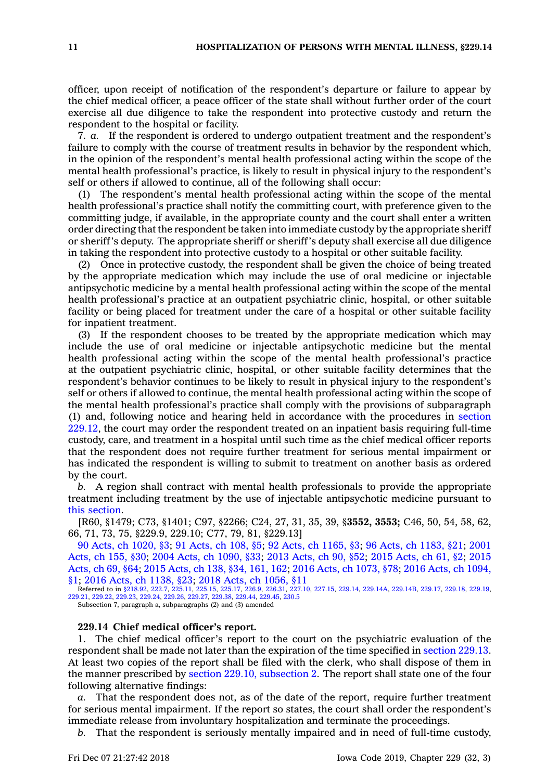officer, upon receipt of notification of the respondent's departure or failure to appear by the chief medical officer, <sup>a</sup> peace officer of the state shall without further order of the court exercise all due diligence to take the respondent into protective custody and return the respondent to the hospital or facility.

7. *a.* If the respondent is ordered to undergo outpatient treatment and the respondent's failure to comply with the course of treatment results in behavior by the respondent which, in the opinion of the respondent's mental health professional acting within the scope of the mental health professional's practice, is likely to result in physical injury to the respondent's self or others if allowed to continue, all of the following shall occur:

(1) The respondent's mental health professional acting within the scope of the mental health professional's practice shall notify the committing court, with preference given to the committing judge, if available, in the appropriate county and the court shall enter <sup>a</sup> written order directing that the respondent be taken into immediate custody by the appropriate sheriff or sheriff's deputy. The appropriate sheriff or sheriff's deputy shall exercise all due diligence in taking the respondent into protective custody to <sup>a</sup> hospital or other suitable facility.

(2) Once in protective custody, the respondent shall be given the choice of being treated by the appropriate medication which may include the use of oral medicine or injectable antipsychotic medicine by <sup>a</sup> mental health professional acting within the scope of the mental health professional's practice at an outpatient psychiatric clinic, hospital, or other suitable facility or being placed for treatment under the care of <sup>a</sup> hospital or other suitable facility for inpatient treatment.

(3) If the respondent chooses to be treated by the appropriate medication which may include the use of oral medicine or injectable antipsychotic medicine but the mental health professional acting within the scope of the mental health professional's practice at the outpatient psychiatric clinic, hospital, or other suitable facility determines that the respondent's behavior continues to be likely to result in physical injury to the respondent's self or others if allowed to continue, the mental health professional acting within the scope of the mental health professional's practice shall comply with the provisions of subparagraph (1) and, following notice and hearing held in accordance with the procedures in [section](https://www.legis.iowa.gov/docs/code/229.12.pdf) [229.12](https://www.legis.iowa.gov/docs/code/229.12.pdf), the court may order the respondent treated on an inpatient basis requiring full-time custody, care, and treatment in <sup>a</sup> hospital until such time as the chief medical officer reports that the respondent does not require further treatment for serious mental impairment or has indicated the respondent is willing to submit to treatment on another basis as ordered by the court.

*b.* A region shall contract with mental health professionals to provide the appropriate treatment including treatment by the use of injectable antipsychotic medicine pursuant to this [section](https://www.legis.iowa.gov/docs/code/229.13.pdf).

[R60, §1479; C73, §1401; C97, §2266; C24, 27, 31, 35, 39, §**3552, 3553;** C46, 50, 54, 58, 62, 66, 71, 73, 75, §229.9, 229.10; C77, 79, 81, §229.13]

90 Acts, ch [1020,](https://www.legis.iowa.gov/docs/acts/90/CH1020.pdf) §3; 91 [Acts,](https://www.legis.iowa.gov/docs/acts/91/CH0108.pdf) ch 108, §5; 92 Acts, ch [1165,](https://www.legis.iowa.gov/docs/acts/92/CH1165.pdf) §3; 96 Acts, ch [1183,](https://www.legis.iowa.gov/docs/acts/96/CH1183.pdf) §21; [2001](https://www.legis.iowa.gov/docs/acts/2001/CH0155.pdf) [Acts,](https://www.legis.iowa.gov/docs/acts/2001/CH0155.pdf) ch 155, §30; 2004 Acts, ch [1090,](https://www.legis.iowa.gov/docs/acts/2004/CH1090.pdf) §33; 2013 [Acts,](https://www.legis.iowa.gov/docs/acts/2013/CH0090.pdf) ch 90, §52; 2015 [Acts,](https://www.legis.iowa.gov/docs/acts/2015/CH0061.pdf) ch 61, §2; [2015](https://www.legis.iowa.gov/docs/acts/2015/CH0069.pdf) [Acts,](https://www.legis.iowa.gov/docs/acts/2015/CH0069.pdf) ch 69, §64; 2015 [Acts,](https://www.legis.iowa.gov/docs/acts/2015/CH0138.pdf) ch 138, §34, 161, 162; 2016 Acts, ch [1073,](https://www.legis.iowa.gov/docs/acts/2016/CH1073.pdf) §78; 2016 Acts, ch [1094,](https://www.legis.iowa.gov/docs/acts/2016/CH1094.pdf) [§1](https://www.legis.iowa.gov/docs/acts/2016/CH1094.pdf); 2016 Acts, ch [1138,](https://www.legis.iowa.gov/docs/acts/2016/CH1138.pdf) §23; 2018 Acts, ch [1056,](https://www.legis.iowa.gov/docs/acts/2018/CH1056.pdf) §11

Referred to in [§218.92](https://www.legis.iowa.gov/docs/code/218.92.pdf), [222.7,](https://www.legis.iowa.gov/docs/code/222.7.pdf) [225.11](https://www.legis.iowa.gov/docs/code/225.11.pdf), [225.15](https://www.legis.iowa.gov/docs/code/225.15.pdf), [225.17](https://www.legis.iowa.gov/docs/code/225.17.pdf), [226.9](https://www.legis.iowa.gov/docs/code/226.9.pdf), [226.31](https://www.legis.iowa.gov/docs/code/226.31.pdf), [227.10,](https://www.legis.iowa.gov/docs/code/227.10.pdf) [227.15](https://www.legis.iowa.gov/docs/code/227.15.pdf), [229.14](https://www.legis.iowa.gov/docs/code/229.14.pdf), [229.14A](https://www.legis.iowa.gov/docs/code/229.14A.pdf), [229.14B](https://www.legis.iowa.gov/docs/code/229.14B.pdf), [229.17](https://www.legis.iowa.gov/docs/code/229.17.pdf), [229.18](https://www.legis.iowa.gov/docs/code/229.18.pdf), [229.19](https://www.legis.iowa.gov/docs/code/229.19.pdf), [229.21](https://www.legis.iowa.gov/docs/code/229.21.pdf), [229.22](https://www.legis.iowa.gov/docs/code/229.22.pdf), [229.23](https://www.legis.iowa.gov/docs/code/229.23.pdf), [229.24](https://www.legis.iowa.gov/docs/code/229.24.pdf), [229.26](https://www.legis.iowa.gov/docs/code/229.26.pdf), [229.27](https://www.legis.iowa.gov/docs/code/229.27.pdf), [229.38](https://www.legis.iowa.gov/docs/code/229.38.pdf), [229.44](https://www.legis.iowa.gov/docs/code/229.44.pdf), [229.45](https://www.legis.iowa.gov/docs/code/229.45.pdf), [230.5](https://www.legis.iowa.gov/docs/code/230.5.pdf)

Subsection 7, paragraph a, subparagraphs (2) and (3) amended

#### **229.14 Chief medical officer's report.**

1. The chief medical officer's report to the court on the psychiatric evaluation of the respondent shall be made not later than the expiration of the time specified in [section](https://www.legis.iowa.gov/docs/code/229.13.pdf) 229.13. At least two copies of the report shall be filed with the clerk, who shall dispose of them in the manner prescribed by section 229.10, [subsection](https://www.legis.iowa.gov/docs/code/229.10.pdf) 2. The report shall state one of the four following alternative findings:

*a.* That the respondent does not, as of the date of the report, require further treatment for serious mental impairment. If the report so states, the court shall order the respondent's immediate release from involuntary hospitalization and terminate the proceedings.

*b.* That the respondent is seriously mentally impaired and in need of full-time custody,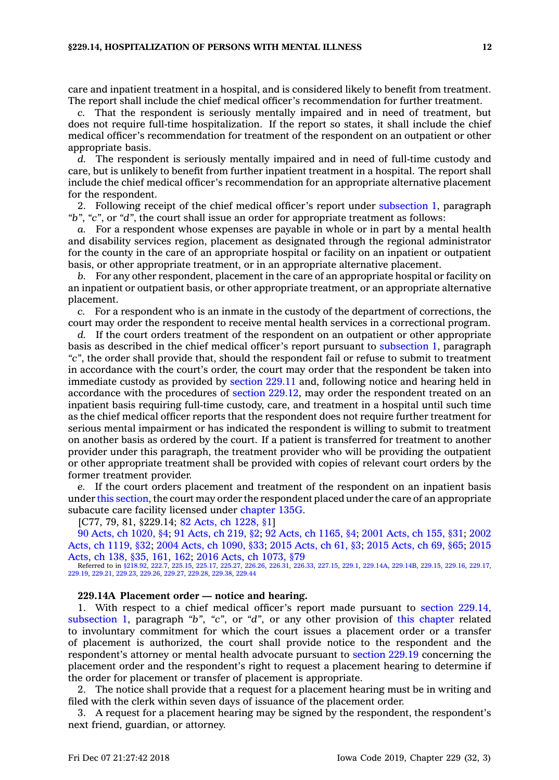care and inpatient treatment in <sup>a</sup> hospital, and is considered likely to benefit from treatment. The report shall include the chief medical officer's recommendation for further treatment.

*c.* That the respondent is seriously mentally impaired and in need of treatment, but does not require full-time hospitalization. If the report so states, it shall include the chief medical officer's recommendation for treatment of the respondent on an outpatient or other appropriate basis.

*d.* The respondent is seriously mentally impaired and in need of full-time custody and care, but is unlikely to benefit from further inpatient treatment in <sup>a</sup> hospital. The report shall include the chief medical officer's recommendation for an appropriate alternative placement for the respondent.

2. Following receipt of the chief medical officer's report under [subsection](https://www.legis.iowa.gov/docs/code/229.14.pdf) 1, paragraph *"b"*, *"c"*, or *"d"*, the court shall issue an order for appropriate treatment as follows:

*a.* For <sup>a</sup> respondent whose expenses are payable in whole or in part by <sup>a</sup> mental health and disability services region, placement as designated through the regional administrator for the county in the care of an appropriate hospital or facility on an inpatient or outpatient basis, or other appropriate treatment, or in an appropriate alternative placement.

*b.* For any other respondent, placement in the care of an appropriate hospital or facility on an inpatient or outpatient basis, or other appropriate treatment, or an appropriate alternative placement.

*c.* For <sup>a</sup> respondent who is an inmate in the custody of the department of corrections, the court may order the respondent to receive mental health services in <sup>a</sup> correctional program.

*d.* If the court orders treatment of the respondent on an outpatient or other appropriate basis as described in the chief medical officer's report pursuant to [subsection](https://www.legis.iowa.gov/docs/code/229.14.pdf) 1, paragraph *"c"*, the order shall provide that, should the respondent fail or refuse to submit to treatment in accordance with the court's order, the court may order that the respondent be taken into immediate custody as provided by [section](https://www.legis.iowa.gov/docs/code/229.11.pdf) 229.11 and, following notice and hearing held in accordance with the procedures of section [229.12](https://www.legis.iowa.gov/docs/code/229.12.pdf), may order the respondent treated on an inpatient basis requiring full-time custody, care, and treatment in <sup>a</sup> hospital until such time as the chief medical officer reports that the respondent does not require further treatment for serious mental impairment or has indicated the respondent is willing to submit to treatment on another basis as ordered by the court. If <sup>a</sup> patient is transferred for treatment to another provider under this paragraph, the treatment provider who will be providing the outpatient or other appropriate treatment shall be provided with copies of relevant court orders by the former treatment provider.

If the court orders placement and treatment of the respondent on an inpatient basis under this [section](https://www.legis.iowa.gov/docs/code/229.14.pdf), the court may order the respondent placed under the care of an appropriate subacute care facility licensed under [chapter](https://www.legis.iowa.gov/docs/code//135G.pdf) 135G.

[C77, 79, 81, §229.14; 82 Acts, ch [1228,](https://www.legis.iowa.gov/docs/acts/1982/CH1228.pdf) §1]

90 Acts, ch [1020,](https://www.legis.iowa.gov/docs/acts/90/CH1020.pdf) §4; 91 [Acts,](https://www.legis.iowa.gov/docs/acts/91/CH0219.pdf) ch 219, §2; 92 Acts, ch [1165,](https://www.legis.iowa.gov/docs/acts/92/CH1165.pdf) §4; 2001 [Acts,](https://www.legis.iowa.gov/docs/acts/2001/CH0155.pdf) ch 155, §31; [2002](https://www.legis.iowa.gov/docs/acts/2002/CH1119.pdf) Acts, ch [1119,](https://www.legis.iowa.gov/docs/acts/2002/CH1119.pdf) §32; 2004 Acts, ch [1090,](https://www.legis.iowa.gov/docs/acts/2004/CH1090.pdf) §33; 2015 [Acts,](https://www.legis.iowa.gov/docs/acts/2015/CH0061.pdf) ch 61, §3; 2015 [Acts,](https://www.legis.iowa.gov/docs/acts/2015/CH0069.pdf) ch 69, §65; [2015](https://www.legis.iowa.gov/docs/acts/2015/CH0138.pdf)

[Acts,](https://www.legis.iowa.gov/docs/acts/2015/CH0138.pdf) ch 138, §35, 161, 162; 2016 Acts, ch [1073,](https://www.legis.iowa.gov/docs/acts/2016/CH1073.pdf) §79<br>Referred to in [§218.92](https://www.legis.iowa.gov/docs/code/218.92.pdf), [222.7,](https://www.legis.iowa.gov/docs/code/222.7.pdf) [225.15](https://www.legis.iowa.gov/docs/code/225.15.pdf), [225.17](https://www.legis.iowa.gov/docs/code/225.17.pdf), [225.27](https://www.legis.iowa.gov/docs/code/225.27.pdf), [226.26](https://www.legis.iowa.gov/docs/code/226.26.pdf), [226.31](https://www.legis.iowa.gov/docs/code/226.31.pdf), [226.33](https://www.legis.iowa.gov/docs/code/226.33.pdf), [227.15](https://www.legis.iowa.gov/docs/code/227.15.pdf), [229.1](https://www.legis.iowa.gov/docs/code/229.1.pdf), [229.14A](https://www.legis.iowa.gov/docs/code/229.14A.pdf), [229.14B](https://www.legis.iowa.gov/docs/code/229.14B.pdf), [229.15](https://www.legis.iowa.gov/docs/code/229.15.pdf), [229.16](https://www.legis.iowa.gov/docs/code/229.16.pdf), [229.17](https://www.legis.iowa.gov/docs/code/229.17.pdf)<br>[229.19](https://www.legis.iowa.gov/docs/code/229.19.pdf), [229.21](https://www.legis.iowa.gov/docs/code/229.21.pdf), [229.23](https://www.legis.iowa.gov/docs/code/229.23.pdf), [229.26,](https://www.legis.iowa.gov/docs/code/229.26.pdf) 22

### **229.14A Placement order — notice and hearing.**

1. With respect to <sup>a</sup> chief medical officer's report made pursuant to section [229.14,](https://www.legis.iowa.gov/docs/code/229.14.pdf) [subsection](https://www.legis.iowa.gov/docs/code/229.14.pdf) 1, paragraph *"b"*, *"c"*, or *"d"*, or any other provision of this [chapter](https://www.legis.iowa.gov/docs/code//229.pdf) related to involuntary commitment for which the court issues <sup>a</sup> placement order or <sup>a</sup> transfer of placement is authorized, the court shall provide notice to the respondent and the respondent's attorney or mental health advocate pursuant to [section](https://www.legis.iowa.gov/docs/code/229.19.pdf) 229.19 concerning the placement order and the respondent's right to request <sup>a</sup> placement hearing to determine if the order for placement or transfer of placement is appropriate.

2. The notice shall provide that <sup>a</sup> request for <sup>a</sup> placement hearing must be in writing and filed with the clerk within seven days of issuance of the placement order.

3. A request for <sup>a</sup> placement hearing may be signed by the respondent, the respondent's next friend, guardian, or attorney.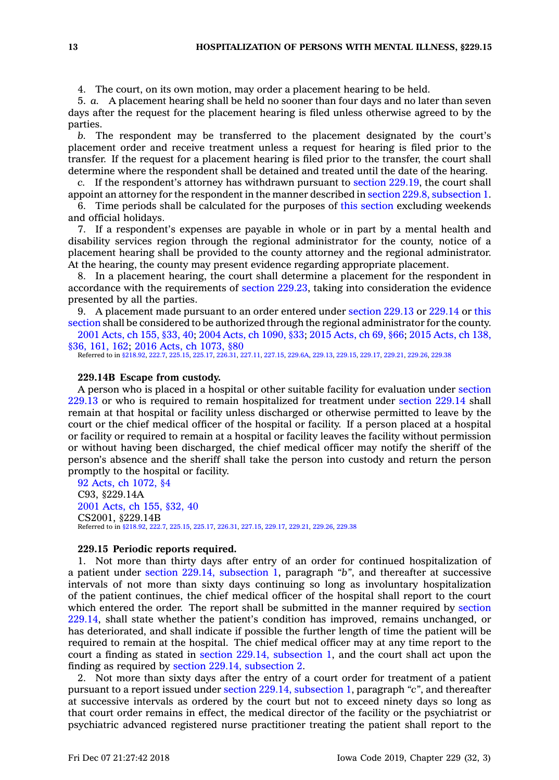4. The court, on its own motion, may order <sup>a</sup> placement hearing to be held.

5. *a.* A placement hearing shall be held no sooner than four days and no later than seven days after the request for the placement hearing is filed unless otherwise agreed to by the parties.

*b.* The respondent may be transferred to the placement designated by the court's placement order and receive treatment unless <sup>a</sup> request for hearing is filed prior to the transfer. If the request for <sup>a</sup> placement hearing is filed prior to the transfer, the court shall determine where the respondent shall be detained and treated until the date of the hearing.

*c.* If the respondent's attorney has withdrawn pursuant to section [229.19](https://www.legis.iowa.gov/docs/code/229.19.pdf), the court shall appoint an attorney for the respondent in the manner described in section 229.8, [subsection](https://www.legis.iowa.gov/docs/code/229.8.pdf) 1.

6. Time periods shall be calculated for the purposes of this [section](https://www.legis.iowa.gov/docs/code/229.14A.pdf) excluding weekends and official holidays.

7. If <sup>a</sup> respondent's expenses are payable in whole or in part by <sup>a</sup> mental health and disability services region through the regional administrator for the county, notice of <sup>a</sup> placement hearing shall be provided to the county attorney and the regional administrator. At the hearing, the county may present evidence regarding appropriate placement.

8. In <sup>a</sup> placement hearing, the court shall determine <sup>a</sup> placement for the respondent in accordance with the requirements of section [229.23](https://www.legis.iowa.gov/docs/code/229.23.pdf), taking into consideration the evidence presented by all the parties.

9. A placement made pursuant to an order entered under [section](https://www.legis.iowa.gov/docs/code/229.13.pdf) 229.13 or [229.14](https://www.legis.iowa.gov/docs/code/229.14.pdf) or [this](https://www.legis.iowa.gov/docs/code/229.14A.pdf) [section](https://www.legis.iowa.gov/docs/code/229.14A.pdf) shall be considered to be authorized through the regional administrator for the county.

2001 [Acts,](https://www.legis.iowa.gov/docs/acts/2001/CH0155.pdf) ch 155, §33, 40; 2004 Acts, ch [1090,](https://www.legis.iowa.gov/docs/acts/2004/CH1090.pdf) §33; 2015 [Acts,](https://www.legis.iowa.gov/docs/acts/2015/CH0069.pdf) ch 69, §66; 2015 [Acts,](https://www.legis.iowa.gov/docs/acts/2015/CH0138.pdf) ch 138, [§36,](https://www.legis.iowa.gov/docs/acts/2015/CH0138.pdf) 161, 162; 2016 Acts, ch [1073,](https://www.legis.iowa.gov/docs/acts/2016/CH1073.pdf) §80

Referred to in [§218.92](https://www.legis.iowa.gov/docs/code/218.92.pdf), [222.7,](https://www.legis.iowa.gov/docs/code/222.7.pdf) [225.15](https://www.legis.iowa.gov/docs/code/225.15.pdf), [225.17](https://www.legis.iowa.gov/docs/code/225.17.pdf), [226.31](https://www.legis.iowa.gov/docs/code/226.31.pdf), [227.11](https://www.legis.iowa.gov/docs/code/227.11.pdf), [227.15](https://www.legis.iowa.gov/docs/code/227.15.pdf), [229.6A](https://www.legis.iowa.gov/docs/code/229.6A.pdf), [229.13](https://www.legis.iowa.gov/docs/code/229.13.pdf), [229.15](https://www.legis.iowa.gov/docs/code/229.15.pdf), [229.17](https://www.legis.iowa.gov/docs/code/229.17.pdf), [229.21](https://www.legis.iowa.gov/docs/code/229.21.pdf), [229.26,](https://www.legis.iowa.gov/docs/code/229.26.pdf) [229.38](https://www.legis.iowa.gov/docs/code/229.38.pdf)

## **229.14B Escape from custody.**

A person who is placed in <sup>a</sup> hospital or other suitable facility for evaluation under [section](https://www.legis.iowa.gov/docs/code/229.13.pdf) [229.13](https://www.legis.iowa.gov/docs/code/229.13.pdf) or who is required to remain hospitalized for treatment under [section](https://www.legis.iowa.gov/docs/code/229.14.pdf) 229.14 shall remain at that hospital or facility unless discharged or otherwise permitted to leave by the court or the chief medical officer of the hospital or facility. If <sup>a</sup> person placed at <sup>a</sup> hospital or facility or required to remain at <sup>a</sup> hospital or facility leaves the facility without permission or without having been discharged, the chief medical officer may notify the sheriff of the person's absence and the sheriff shall take the person into custody and return the person promptly to the hospital or facility.

92 Acts, ch [1072,](https://www.legis.iowa.gov/docs/acts/1992/CH1072.pdf) §4 C93, §229.14A 2001 [Acts,](https://www.legis.iowa.gov/docs/acts/2001/CH0155.pdf) ch 155, §32, 40 CS2001, §229.14B Referred to in [§218.92](https://www.legis.iowa.gov/docs/code/218.92.pdf), [222.7](https://www.legis.iowa.gov/docs/code/222.7.pdf), [225.15](https://www.legis.iowa.gov/docs/code/225.15.pdf), [225.17,](https://www.legis.iowa.gov/docs/code/225.17.pdf) [226.31](https://www.legis.iowa.gov/docs/code/226.31.pdf), [227.15](https://www.legis.iowa.gov/docs/code/227.15.pdf), [229.17](https://www.legis.iowa.gov/docs/code/229.17.pdf), [229.21](https://www.legis.iowa.gov/docs/code/229.21.pdf), [229.26](https://www.legis.iowa.gov/docs/code/229.26.pdf), [229.38](https://www.legis.iowa.gov/docs/code/229.38.pdf)

### **229.15 Periodic reports required.**

1. Not more than thirty days after entry of an order for continued hospitalization of <sup>a</sup> patient under section 229.14, [subsection](https://www.legis.iowa.gov/docs/code/229.14.pdf) 1, paragraph *"b"*, and thereafter at successive intervals of not more than sixty days continuing so long as involuntary hospitalization of the patient continues, the chief medical officer of the hospital shall report to the court which entered the order. The report shall be submitted in the manner required by [section](https://www.legis.iowa.gov/docs/code/229.14.pdf) [229.14](https://www.legis.iowa.gov/docs/code/229.14.pdf), shall state whether the patient's condition has improved, remains unchanged, or has deteriorated, and shall indicate if possible the further length of time the patient will be required to remain at the hospital. The chief medical officer may at any time report to the court <sup>a</sup> finding as stated in section 229.14, [subsection](https://www.legis.iowa.gov/docs/code/229.14.pdf) 1, and the court shall act upon the finding as required by section 229.14, [subsection](https://www.legis.iowa.gov/docs/code/229.14.pdf) 2.

2. Not more than sixty days after the entry of <sup>a</sup> court order for treatment of <sup>a</sup> patient pursuant to <sup>a</sup> report issued under section 229.14, [subsection](https://www.legis.iowa.gov/docs/code/229.14.pdf) 1, paragraph *"c"*, and thereafter at successive intervals as ordered by the court but not to exceed ninety days so long as that court order remains in effect, the medical director of the facility or the psychiatrist or psychiatric advanced registered nurse practitioner treating the patient shall report to the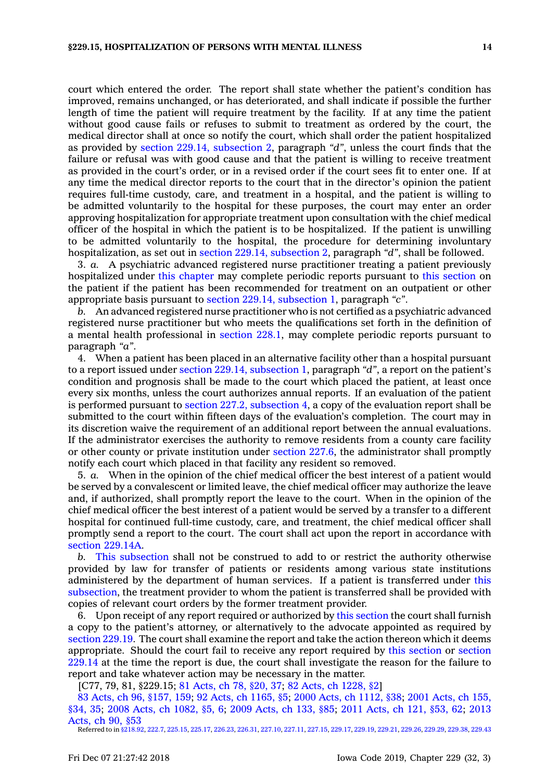court which entered the order. The report shall state whether the patient's condition has improved, remains unchanged, or has deteriorated, and shall indicate if possible the further length of time the patient will require treatment by the facility. If at any time the patient without good cause fails or refuses to submit to treatment as ordered by the court, the medical director shall at once so notify the court, which shall order the patient hospitalized as provided by section 229.14, [subsection](https://www.legis.iowa.gov/docs/code/229.14.pdf) 2, paragraph *"d"*, unless the court finds that the failure or refusal was with good cause and that the patient is willing to receive treatment as provided in the court's order, or in <sup>a</sup> revised order if the court sees fit to enter one. If at any time the medical director reports to the court that in the director's opinion the patient requires full-time custody, care, and treatment in <sup>a</sup> hospital, and the patient is willing to be admitted voluntarily to the hospital for these purposes, the court may enter an order approving hospitalization for appropriate treatment upon consultation with the chief medical officer of the hospital in which the patient is to be hospitalized. If the patient is unwilling to be admitted voluntarily to the hospital, the procedure for determining involuntary hospitalization, as set out in section 229.14, [subsection](https://www.legis.iowa.gov/docs/code/229.14.pdf) 2, paragraph *"d"*, shall be followed.

3. *a.* A psychiatric advanced registered nurse practitioner treating <sup>a</sup> patient previously hospitalized under this [chapter](https://www.legis.iowa.gov/docs/code//229.pdf) may complete periodic reports pursuant to this [section](https://www.legis.iowa.gov/docs/code/229.15.pdf) on the patient if the patient has been recommended for treatment on an outpatient or other appropriate basis pursuant to section 229.14, [subsection](https://www.legis.iowa.gov/docs/code/229.14.pdf) 1, paragraph *"c"*.

*b.* An advanced registered nurse practitioner who is not certified as <sup>a</sup> psychiatric advanced registered nurse practitioner but who meets the qualifications set forth in the definition of <sup>a</sup> mental health professional in [section](https://www.legis.iowa.gov/docs/code/228.1.pdf) 228.1, may complete periodic reports pursuant to paragraph *"a"*.

4. When <sup>a</sup> patient has been placed in an alternative facility other than <sup>a</sup> hospital pursuant to <sup>a</sup> report issued under section 229.14, [subsection](https://www.legis.iowa.gov/docs/code/229.14.pdf) 1, paragraph *"d"*, <sup>a</sup> report on the patient's condition and prognosis shall be made to the court which placed the patient, at least once every six months, unless the court authorizes annual reports. If an evaluation of the patient is performed pursuant to section 227.2, [subsection](https://www.legis.iowa.gov/docs/code/227.2.pdf) 4, <sup>a</sup> copy of the evaluation report shall be submitted to the court within fifteen days of the evaluation's completion. The court may in its discretion waive the requirement of an additional report between the annual evaluations. If the administrator exercises the authority to remove residents from <sup>a</sup> county care facility or other county or private institution under [section](https://www.legis.iowa.gov/docs/code/227.6.pdf) 227.6, the administrator shall promptly notify each court which placed in that facility any resident so removed.

5. *a.* When in the opinion of the chief medical officer the best interest of <sup>a</sup> patient would be served by <sup>a</sup> convalescent or limited leave, the chief medical officer may authorize the leave and, if authorized, shall promptly report the leave to the court. When in the opinion of the chief medical officer the best interest of <sup>a</sup> patient would be served by <sup>a</sup> transfer to <sup>a</sup> different hospital for continued full-time custody, care, and treatment, the chief medical officer shall promptly send <sup>a</sup> report to the court. The court shall act upon the report in accordance with section [229.14A](https://www.legis.iowa.gov/docs/code/229.14A.pdf).

*b.* This [subsection](https://www.legis.iowa.gov/docs/code/229.15.pdf) shall not be construed to add to or restrict the authority otherwise provided by law for transfer of patients or residents among various state institutions administered by the department of human services. If <sup>a</sup> patient is transferred under [this](https://www.legis.iowa.gov/docs/code/229.15.pdf) [subsection](https://www.legis.iowa.gov/docs/code/229.15.pdf), the treatment provider to whom the patient is transferred shall be provided with copies of relevant court orders by the former treatment provider.

6. Upon receipt of any report required or authorized by this [section](https://www.legis.iowa.gov/docs/code/229.15.pdf) the court shall furnish <sup>a</sup> copy to the patient's attorney, or alternatively to the advocate appointed as required by [section](https://www.legis.iowa.gov/docs/code/229.19.pdf) 229.19. The court shall examine the report and take the action thereon which it deems appropriate. Should the court fail to receive any report required by this [section](https://www.legis.iowa.gov/docs/code/229.15.pdf) or [section](https://www.legis.iowa.gov/docs/code/229.14.pdf) [229.14](https://www.legis.iowa.gov/docs/code/229.14.pdf) at the time the report is due, the court shall investigate the reason for the failure to report and take whatever action may be necessary in the matter.

[C77, 79, 81, §229.15; 81 [Acts,](https://www.legis.iowa.gov/docs/acts/1981/CH0078.pdf) ch 78, §20, 37; 82 Acts, ch [1228,](https://www.legis.iowa.gov/docs/acts/1982/CH1228.pdf) §2]

83 Acts, ch 96, [§157,](https://www.legis.iowa.gov/docs/acts/83/CH0096.pdf) 159; 92 Acts, ch [1165,](https://www.legis.iowa.gov/docs/acts/92/CH1165.pdf) §5; 2000 Acts, ch [1112,](https://www.legis.iowa.gov/docs/acts/2000/CH1112.pdf) §38; 2001 [Acts,](https://www.legis.iowa.gov/docs/acts/2001/CH0155.pdf) ch 155, [§34,](https://www.legis.iowa.gov/docs/acts/2001/CH0155.pdf) 35; 2008 Acts, ch [1082,](https://www.legis.iowa.gov/docs/acts/2008/CH1082.pdf) §5, 6; 2009 [Acts,](https://www.legis.iowa.gov/docs/acts/2009/CH0133.pdf) ch 133, §85; 2011 [Acts,](https://www.legis.iowa.gov/docs/acts/2011/CH0121.pdf) ch 121, §53, 62; [2013](https://www.legis.iowa.gov/docs/acts/2013/CH0090.pdf) [Acts,](https://www.legis.iowa.gov/docs/acts/2013/CH0090.pdf) ch 90, §53

Referred to in [§218.92](https://www.legis.iowa.gov/docs/code/218.92.pdf), [222.7](https://www.legis.iowa.gov/docs/code/222.7.pdf), [225.15](https://www.legis.iowa.gov/docs/code/225.15.pdf), [225.17](https://www.legis.iowa.gov/docs/code/225.17.pdf), [226.23](https://www.legis.iowa.gov/docs/code/226.23.pdf), [226.31](https://www.legis.iowa.gov/docs/code/226.31.pdf), [227.10](https://www.legis.iowa.gov/docs/code/227.10.pdf), [227.11](https://www.legis.iowa.gov/docs/code/227.11.pdf), [227.15](https://www.legis.iowa.gov/docs/code/227.15.pdf), [229.17](https://www.legis.iowa.gov/docs/code/229.17.pdf), [229.19](https://www.legis.iowa.gov/docs/code/229.19.pdf), [229.21,](https://www.legis.iowa.gov/docs/code/229.21.pdf) [229.26](https://www.legis.iowa.gov/docs/code/229.26.pdf), [229.29](https://www.legis.iowa.gov/docs/code/229.29.pdf), [229.38](https://www.legis.iowa.gov/docs/code/229.38.pdf), [229.43](https://www.legis.iowa.gov/docs/code/229.43.pdf)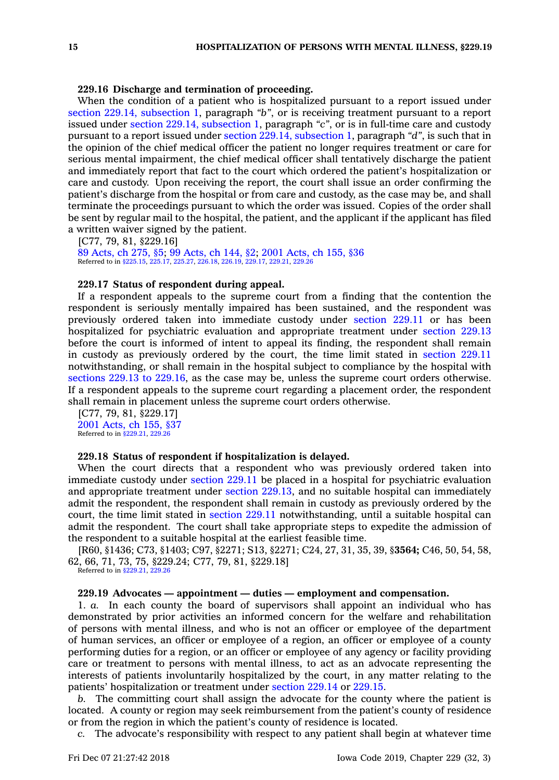## **229.16 Discharge and termination of proceeding.**

When the condition of <sup>a</sup> patient who is hospitalized pursuant to <sup>a</sup> report issued under section 229.14, [subsection](https://www.legis.iowa.gov/docs/code/229.14.pdf) 1, paragraph *"b"*, or is receiving treatment pursuant to <sup>a</sup> report issued under section 229.14, [subsection](https://www.legis.iowa.gov/docs/code/229.14.pdf) 1, paragraph *"c"*, or is in full-time care and custody pursuant to <sup>a</sup> report issued under section 229.14, [subsection](https://www.legis.iowa.gov/docs/code/229.14.pdf) 1, paragraph *"d"*, is such that in the opinion of the chief medical officer the patient no longer requires treatment or care for serious mental impairment, the chief medical officer shall tentatively discharge the patient and immediately report that fact to the court which ordered the patient's hospitalization or care and custody. Upon receiving the report, the court shall issue an order confirming the patient's discharge from the hospital or from care and custody, as the case may be, and shall terminate the proceedings pursuant to which the order was issued. Copies of the order shall be sent by regular mail to the hospital, the patient, and the applicant if the applicant has filed <sup>a</sup> written waiver signed by the patient.

[C77, 79, 81, §229.16] 89 [Acts,](https://www.legis.iowa.gov/docs/acts/1989/CH0275.pdf) ch 275, §5; 99 [Acts,](https://www.legis.iowa.gov/docs/acts/1999/CH0144.pdf) ch 144, §2; 2001 [Acts,](https://www.legis.iowa.gov/docs/acts/2001/CH0155.pdf) ch 155, §36 Referred to in [§225.15](https://www.legis.iowa.gov/docs/code/225.15.pdf), [225.17,](https://www.legis.iowa.gov/docs/code/225.17.pdf) [225.27](https://www.legis.iowa.gov/docs/code/225.27.pdf), [226.18](https://www.legis.iowa.gov/docs/code/226.18.pdf), [226.19,](https://www.legis.iowa.gov/docs/code/226.19.pdf) [229.17](https://www.legis.iowa.gov/docs/code/229.17.pdf), [229.21](https://www.legis.iowa.gov/docs/code/229.21.pdf), [229.26](https://www.legis.iowa.gov/docs/code/229.26.pdf)

#### **229.17 Status of respondent during appeal.**

If <sup>a</sup> respondent appeals to the supreme court from <sup>a</sup> finding that the contention the respondent is seriously mentally impaired has been sustained, and the respondent was previously ordered taken into immediate custody under [section](https://www.legis.iowa.gov/docs/code/229.11.pdf) 229.11 or has been hospitalized for psychiatric evaluation and appropriate treatment under [section](https://www.legis.iowa.gov/docs/code/229.13.pdf) 229.13 before the court is informed of intent to appeal its finding, the respondent shall remain in custody as previously ordered by the court, the time limit stated in [section](https://www.legis.iowa.gov/docs/code/229.11.pdf) 229.11 notwithstanding, or shall remain in the hospital subject to compliance by the hospital with [sections](https://www.legis.iowa.gov/docs/code/229.13.pdf) 229.13 to 229.16, as the case may be, unless the supreme court orders otherwise. If <sup>a</sup> respondent appeals to the supreme court regarding <sup>a</sup> placement order, the respondent shall remain in placement unless the supreme court orders otherwise.

[C77, 79, 81, §229.17] 2001 [Acts,](https://www.legis.iowa.gov/docs/acts/2001/CH0155.pdf) ch 155, §37 Referred to in [§229.21](https://www.legis.iowa.gov/docs/code/229.21.pdf), [229.26](https://www.legis.iowa.gov/docs/code/229.26.pdf)

#### **229.18 Status of respondent if hospitalization is delayed.**

When the court directs that <sup>a</sup> respondent who was previously ordered taken into immediate custody under [section](https://www.legis.iowa.gov/docs/code/229.11.pdf) 229.11 be placed in <sup>a</sup> hospital for psychiatric evaluation and appropriate treatment under section [229.13](https://www.legis.iowa.gov/docs/code/229.13.pdf), and no suitable hospital can immediately admit the respondent, the respondent shall remain in custody as previously ordered by the court, the time limit stated in [section](https://www.legis.iowa.gov/docs/code/229.11.pdf) 229.11 notwithstanding, until <sup>a</sup> suitable hospital can admit the respondent. The court shall take appropriate steps to expedite the admission of the respondent to <sup>a</sup> suitable hospital at the earliest feasible time.

[R60, §1436; C73, §1403; C97, §2271; S13, §2271; C24, 27, 31, 35, 39, §**3564;** C46, 50, 54, 58, 62, 66, 71, 73, 75, §229.24; C77, 79, 81, §229.18]

Referred to in [§229.21](https://www.legis.iowa.gov/docs/code/229.21.pdf), [229.26](https://www.legis.iowa.gov/docs/code/229.26.pdf)

## **229.19 Advocates — appointment — duties — employment and compensation.**

1. *a.* In each county the board of supervisors shall appoint an individual who has demonstrated by prior activities an informed concern for the welfare and rehabilitation of persons with mental illness, and who is not an officer or employee of the department of human services, an officer or employee of <sup>a</sup> region, an officer or employee of <sup>a</sup> county performing duties for <sup>a</sup> region, or an officer or employee of any agency or facility providing care or treatment to persons with mental illness, to act as an advocate representing the interests of patients involuntarily hospitalized by the court, in any matter relating to the patients' hospitalization or treatment under [section](https://www.legis.iowa.gov/docs/code/229.14.pdf) 229.14 or [229.15](https://www.legis.iowa.gov/docs/code/229.15.pdf).

*b.* The committing court shall assign the advocate for the county where the patient is located. A county or region may seek reimbursement from the patient's county of residence or from the region in which the patient's county of residence is located.

*c.* The advocate's responsibility with respect to any patient shall begin at whatever time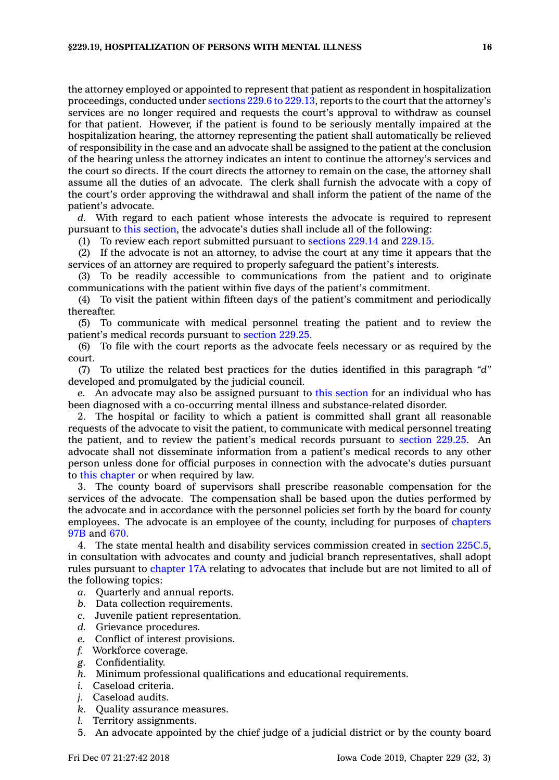the attorney employed or appointed to represent that patient as respondent in hospitalization proceedings, conducted under [sections](https://www.legis.iowa.gov/docs/code/229.6.pdf) 229.6 to 229.13, reports to the court that the attorney's services are no longer required and requests the court's approval to withdraw as counsel for that patient. However, if the patient is found to be seriously mentally impaired at the hospitalization hearing, the attorney representing the patient shall automatically be relieved of responsibility in the case and an advocate shall be assigned to the patient at the conclusion of the hearing unless the attorney indicates an intent to continue the attorney's services and the court so directs. If the court directs the attorney to remain on the case, the attorney shall assume all the duties of an advocate. The clerk shall furnish the advocate with <sup>a</sup> copy of the court's order approving the withdrawal and shall inform the patient of the name of the patient's advocate.

*d.* With regard to each patient whose interests the advocate is required to represent pursuant to this [section](https://www.legis.iowa.gov/docs/code/229.19.pdf), the advocate's duties shall include all of the following:

(1) To review each report submitted pursuant to [sections](https://www.legis.iowa.gov/docs/code/229.14.pdf) 229.14 and [229.15](https://www.legis.iowa.gov/docs/code/229.15.pdf).

(2) If the advocate is not an attorney, to advise the court at any time it appears that the services of an attorney are required to properly safeguard the patient's interests.

(3) To be readily accessible to communications from the patient and to originate communications with the patient within five days of the patient's commitment.

(4) To visit the patient within fifteen days of the patient's commitment and periodically thereafter.

(5) To communicate with medical personnel treating the patient and to review the patient's medical records pursuant to [section](https://www.legis.iowa.gov/docs/code/229.25.pdf) 229.25.

(6) To file with the court reports as the advocate feels necessary or as required by the court.

(7) To utilize the related best practices for the duties identified in this paragraph *"d"* developed and promulgated by the judicial council.

*e.* An advocate may also be assigned pursuant to this [section](https://www.legis.iowa.gov/docs/code/229.19.pdf) for an individual who has been diagnosed with <sup>a</sup> co-occurring mental illness and substance-related disorder.

2. The hospital or facility to which <sup>a</sup> patient is committed shall grant all reasonable requests of the advocate to visit the patient, to communicate with medical personnel treating the patient, and to review the patient's medical records pursuant to [section](https://www.legis.iowa.gov/docs/code/229.25.pdf) 229.25. An advocate shall not disseminate information from <sup>a</sup> patient's medical records to any other person unless done for official purposes in connection with the advocate's duties pursuant to this [chapter](https://www.legis.iowa.gov/docs/code//229.pdf) or when required by law.

3. The county board of supervisors shall prescribe reasonable compensation for the services of the advocate. The compensation shall be based upon the duties performed by the advocate and in accordance with the personnel policies set forth by the board for county employees. The advocate is an employee of the county, including for purposes of [chapters](https://www.legis.iowa.gov/docs/code//97B.pdf) [97B](https://www.legis.iowa.gov/docs/code//97B.pdf) and [670](https://www.legis.iowa.gov/docs/code//670.pdf).

4. The state mental health and disability services commission created in section [225C.5](https://www.legis.iowa.gov/docs/code/225C.5.pdf), in consultation with advocates and county and judicial branch representatives, shall adopt rules pursuant to [chapter](https://www.legis.iowa.gov/docs/code//17A.pdf) 17A relating to advocates that include but are not limited to all of the following topics:

- *a.* Quarterly and annual reports.
- *b.* Data collection requirements.
- *c.* Juvenile patient representation.
- *d.* Grievance procedures.
- *e.* Conflict of interest provisions.
- *f.* Workforce coverage.
- *g.* Confidentiality.
- *h.* Minimum professional qualifications and educational requirements.
- *i.* Caseload criteria.
- *j.* Caseload audits.
- *k.* Quality assurance measures.
- *l.* Territory assignments.
- 5. An advocate appointed by the chief judge of <sup>a</sup> judicial district or by the county board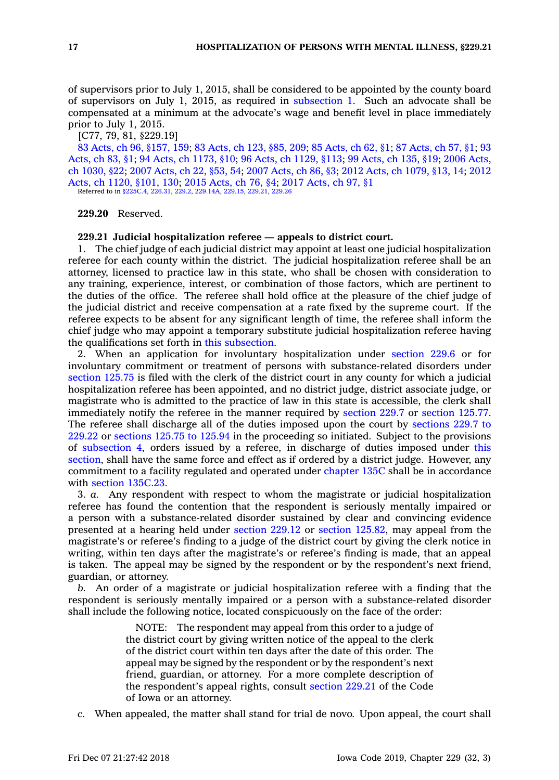of supervisors prior to July 1, 2015, shall be considered to be appointed by the county board of supervisors on July 1, 2015, as required in [subsection](https://www.legis.iowa.gov/docs/code/229.19.pdf) 1. Such an advocate shall be compensated at <sup>a</sup> minimum at the advocate's wage and benefit level in place immediately prior to July 1, 2015.

[C77, 79, 81, §229.19]

83 Acts, ch 96, [§157,](https://www.legis.iowa.gov/docs/acts/83/CH0096.pdf) 159; 83 [Acts,](https://www.legis.iowa.gov/docs/acts/83/CH0123.pdf) ch 123, §85, 209; 85 [Acts,](https://www.legis.iowa.gov/docs/acts/85/CH0062.pdf) ch 62, §1; 87 [Acts,](https://www.legis.iowa.gov/docs/acts/87/CH0057.pdf) ch 57, §1; [93](https://www.legis.iowa.gov/docs/acts/93/CH0083.pdf) [Acts,](https://www.legis.iowa.gov/docs/acts/93/CH0083.pdf) ch 83, §1; 94 Acts, ch [1173,](https://www.legis.iowa.gov/docs/acts/94/CH1173.pdf) §10; 96 Acts, ch [1129,](https://www.legis.iowa.gov/docs/acts/96/CH1129.pdf) §113; 99 [Acts,](https://www.legis.iowa.gov/docs/acts/99/CH0135.pdf) ch 135, §19; 2006 [Acts,](https://www.legis.iowa.gov/docs/acts/2006/CH1030.pdf) ch [1030,](https://www.legis.iowa.gov/docs/acts/2006/CH1030.pdf) §22; 2007 [Acts,](https://www.legis.iowa.gov/docs/acts/2007/CH0022.pdf) ch 22, §53, 54; 2007 [Acts,](https://www.legis.iowa.gov/docs/acts/2007/CH0086.pdf) ch 86, §3; 2012 Acts, ch [1079,](https://www.legis.iowa.gov/docs/acts/2012/CH1079.pdf) §13, 14; [2012](https://www.legis.iowa.gov/docs/acts/2012/CH1120.pdf) Acts, ch 1120, [§101,](https://www.legis.iowa.gov/docs/acts/2012/CH1120.pdf) 130; 2015 [Acts,](https://www.legis.iowa.gov/docs/acts/2015/CH0076.pdf) ch 76, §4; 2017 [Acts,](https://www.legis.iowa.gov/docs/acts/2017/CH0097.pdf) ch 97, §1

Referred to in [§225C.4](https://www.legis.iowa.gov/docs/code/225C.4.pdf), [226.31](https://www.legis.iowa.gov/docs/code/226.31.pdf), [229.2](https://www.legis.iowa.gov/docs/code/229.2.pdf), [229.14A,](https://www.legis.iowa.gov/docs/code/229.14A.pdf) [229.15](https://www.legis.iowa.gov/docs/code/229.15.pdf), [229.21](https://www.legis.iowa.gov/docs/code/229.21.pdf), [229.26](https://www.legis.iowa.gov/docs/code/229.26.pdf)

**229.20** Reserved.

#### **229.21 Judicial hospitalization referee — appeals to district court.**

1. The chief judge of each judicial district may appoint at least one judicial hospitalization referee for each county within the district. The judicial hospitalization referee shall be an attorney, licensed to practice law in this state, who shall be chosen with consideration to any training, experience, interest, or combination of those factors, which are pertinent to the duties of the office. The referee shall hold office at the pleasure of the chief judge of the judicial district and receive compensation at <sup>a</sup> rate fixed by the supreme court. If the referee expects to be absent for any significant length of time, the referee shall inform the chief judge who may appoint <sup>a</sup> temporary substitute judicial hospitalization referee having the qualifications set forth in this [subsection](https://www.legis.iowa.gov/docs/code/229.21.pdf).

2. When an application for involuntary hospitalization under [section](https://www.legis.iowa.gov/docs/code/229.6.pdf) 229.6 or for involuntary commitment or treatment of persons with substance-related disorders under [section](https://www.legis.iowa.gov/docs/code/125.75.pdf) 125.75 is filed with the clerk of the district court in any county for which <sup>a</sup> judicial hospitalization referee has been appointed, and no district judge, district associate judge, or magistrate who is admitted to the practice of law in this state is accessible, the clerk shall immediately notify the referee in the manner required by [section](https://www.legis.iowa.gov/docs/code/229.7.pdf) 229.7 or [section](https://www.legis.iowa.gov/docs/code/125.77.pdf) 125.77. The referee shall discharge all of the duties imposed upon the court by [sections](https://www.legis.iowa.gov/docs/code/229.7.pdf) 229.7 to [229.22](https://www.legis.iowa.gov/docs/code/229.7.pdf) or [sections](https://www.legis.iowa.gov/docs/code/125.75.pdf) 125.75 to 125.94 in the proceeding so initiated. Subject to the provisions of [subsection](https://www.legis.iowa.gov/docs/code/229.21.pdf) 4, orders issued by <sup>a</sup> referee, in discharge of duties imposed under [this](https://www.legis.iowa.gov/docs/code/229.21.pdf) [section](https://www.legis.iowa.gov/docs/code/229.21.pdf), shall have the same force and effect as if ordered by <sup>a</sup> district judge. However, any commitment to <sup>a</sup> facility regulated and operated under [chapter](https://www.legis.iowa.gov/docs/code//135C.pdf) 135C shall be in accordance with section [135C.23](https://www.legis.iowa.gov/docs/code/135C.23.pdf).

3. *a.* Any respondent with respect to whom the magistrate or judicial hospitalization referee has found the contention that the respondent is seriously mentally impaired or <sup>a</sup> person with <sup>a</sup> substance-related disorder sustained by clear and convincing evidence presented at <sup>a</sup> hearing held under [section](https://www.legis.iowa.gov/docs/code/229.12.pdf) 229.12 or section [125.82](https://www.legis.iowa.gov/docs/code/125.82.pdf), may appeal from the magistrate's or referee's finding to <sup>a</sup> judge of the district court by giving the clerk notice in writing, within ten days after the magistrate's or referee's finding is made, that an appeal is taken. The appeal may be signed by the respondent or by the respondent's next friend, guardian, or attorney.

*b.* An order of <sup>a</sup> magistrate or judicial hospitalization referee with <sup>a</sup> finding that the respondent is seriously mentally impaired or <sup>a</sup> person with <sup>a</sup> substance-related disorder shall include the following notice, located conspicuously on the face of the order:

> NOTE: The respondent may appeal from this order to <sup>a</sup> judge of the district court by giving written notice of the appeal to the clerk of the district court within ten days after the date of this order. The appeal may be signed by the respondent or by the respondent's next friend, guardian, or attorney. For <sup>a</sup> more complete description of the respondent's appeal rights, consult [section](https://www.legis.iowa.gov/docs/code/229.21.pdf) 229.21 of the Code of Iowa or an attorney.

*c.* When appealed, the matter shall stand for trial de novo. Upon appeal, the court shall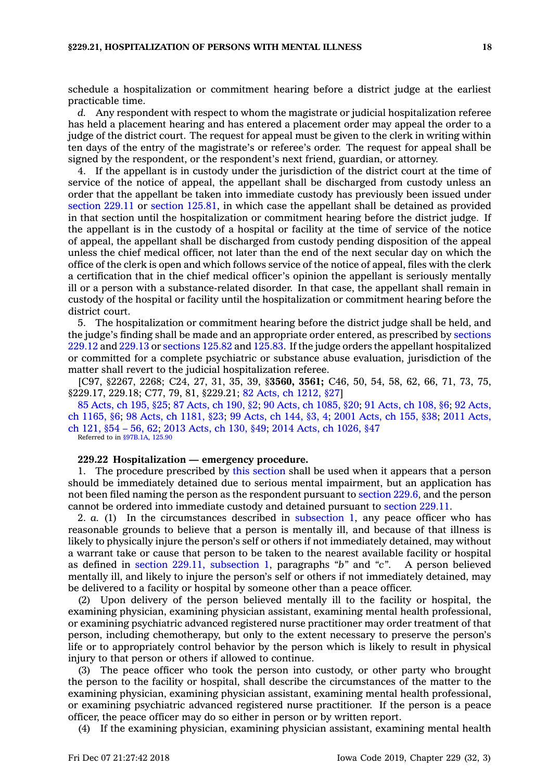schedule <sup>a</sup> hospitalization or commitment hearing before <sup>a</sup> district judge at the earliest practicable time.

*d.* Any respondent with respect to whom the magistrate or judicial hospitalization referee has held <sup>a</sup> placement hearing and has entered <sup>a</sup> placement order may appeal the order to <sup>a</sup> judge of the district court. The request for appeal must be given to the clerk in writing within ten days of the entry of the magistrate's or referee's order. The request for appeal shall be signed by the respondent, or the respondent's next friend, guardian, or attorney.

4. If the appellant is in custody under the jurisdiction of the district court at the time of service of the notice of appeal, the appellant shall be discharged from custody unless an order that the appellant be taken into immediate custody has previously been issued under [section](https://www.legis.iowa.gov/docs/code/229.11.pdf) 229.11 or section [125.81](https://www.legis.iowa.gov/docs/code/125.81.pdf), in which case the appellant shall be detained as provided in that section until the hospitalization or commitment hearing before the district judge. If the appellant is in the custody of <sup>a</sup> hospital or facility at the time of service of the notice of appeal, the appellant shall be discharged from custody pending disposition of the appeal unless the chief medical officer, not later than the end of the next secular day on which the office of the clerk is open and which follows service of the notice of appeal, files with the clerk <sup>a</sup> certification that in the chief medical officer's opinion the appellant is seriously mentally ill or <sup>a</sup> person with <sup>a</sup> substance-related disorder. In that case, the appellant shall remain in custody of the hospital or facility until the hospitalization or commitment hearing before the district court.

5. The hospitalization or commitment hearing before the district judge shall be held, and the judge's finding shall be made and an appropriate order entered, as prescribed by [sections](https://www.legis.iowa.gov/docs/code/229.12.pdf) [229.12](https://www.legis.iowa.gov/docs/code/229.12.pdf) and [229.13](https://www.legis.iowa.gov/docs/code/229.13.pdf) or [sections](https://www.legis.iowa.gov/docs/code/125.82.pdf) 125.82 and [125.83](https://www.legis.iowa.gov/docs/code/125.83.pdf). If the judge orders the appellant hospitalized or committed for <sup>a</sup> complete psychiatric or substance abuse evaluation, jurisdiction of the matter shall revert to the judicial hospitalization referee.

[C97, §2267, 2268; C24, 27, 31, 35, 39, §**3560, 3561;** C46, 50, 54, 58, 62, 66, 71, 73, 75, §229.17, 229.18; C77, 79, 81, §229.21; 82 Acts, ch [1212,](https://www.legis.iowa.gov/docs/acts/1982/CH1212.pdf) §27]

85 [Acts,](https://www.legis.iowa.gov/docs/acts/85/CH0195.pdf) ch 195, §25; 87 [Acts,](https://www.legis.iowa.gov/docs/acts/87/CH0190.pdf) ch 190, §2; 90 Acts, ch [1085,](https://www.legis.iowa.gov/docs/acts/90/CH1085.pdf) §20; 91 [Acts,](https://www.legis.iowa.gov/docs/acts/91/CH0108.pdf) ch 108, §6; 92 [Acts,](https://www.legis.iowa.gov/docs/acts/92/CH1165.pdf) ch [1165,](https://www.legis.iowa.gov/docs/acts/92/CH1165.pdf) §6; 98 Acts, ch [1181,](https://www.legis.iowa.gov/docs/acts/98/CH1181.pdf) §23; 99 [Acts,](https://www.legis.iowa.gov/docs/acts/99/CH0144.pdf) ch 144, §3, 4; 2001 [Acts,](https://www.legis.iowa.gov/docs/acts/2001/CH0155.pdf) ch 155, §38; 2011 [Acts,](https://www.legis.iowa.gov/docs/acts/2011/CH0121.pdf) ch [121,](https://www.legis.iowa.gov/docs/acts/2011/CH0121.pdf) §54 – 56, 62; 2013 [Acts,](https://www.legis.iowa.gov/docs/acts/2013/CH0130.pdf) ch 130, §49; 2014 Acts, ch [1026,](https://www.legis.iowa.gov/docs/acts/2014/CH1026.pdf) §47 Referred to in [§97B.1A,](https://www.legis.iowa.gov/docs/code/97B.1A.pdf) [125.90](https://www.legis.iowa.gov/docs/code/125.90.pdf)

#### **229.22 Hospitalization — emergency procedure.**

1. The procedure prescribed by this [section](https://www.legis.iowa.gov/docs/code/229.22.pdf) shall be used when it appears that <sup>a</sup> person should be immediately detained due to serious mental impairment, but an application has not been filed naming the person as the respondent pursuant to [section](https://www.legis.iowa.gov/docs/code/229.6.pdf) 229.6, and the person cannot be ordered into immediate custody and detained pursuant to [section](https://www.legis.iowa.gov/docs/code/229.11.pdf) 229.11.

2. *a.* (1) In the circumstances described in [subsection](https://www.legis.iowa.gov/docs/code/229.22.pdf) 1, any peace officer who has reasonable grounds to believe that <sup>a</sup> person is mentally ill, and because of that illness is likely to physically injure the person's self or others if not immediately detained, may without <sup>a</sup> warrant take or cause that person to be taken to the nearest available facility or hospital as defined in section 229.11, [subsection](https://www.legis.iowa.gov/docs/code/229.11.pdf) 1, paragraphs *"b"* and *"c"*. A person believed mentally ill, and likely to injure the person's self or others if not immediately detained, may be delivered to <sup>a</sup> facility or hospital by someone other than <sup>a</sup> peace officer.

Upon delivery of the person believed mentally ill to the facility or hospital, the examining physician, examining physician assistant, examining mental health professional, or examining psychiatric advanced registered nurse practitioner may order treatment of that person, including chemotherapy, but only to the extent necessary to preserve the person's life or to appropriately control behavior by the person which is likely to result in physical injury to that person or others if allowed to continue.

(3) The peace officer who took the person into custody, or other party who brought the person to the facility or hospital, shall describe the circumstances of the matter to the examining physician, examining physician assistant, examining mental health professional, or examining psychiatric advanced registered nurse practitioner. If the person is <sup>a</sup> peace officer, the peace officer may do so either in person or by written report.

(4) If the examining physician, examining physician assistant, examining mental health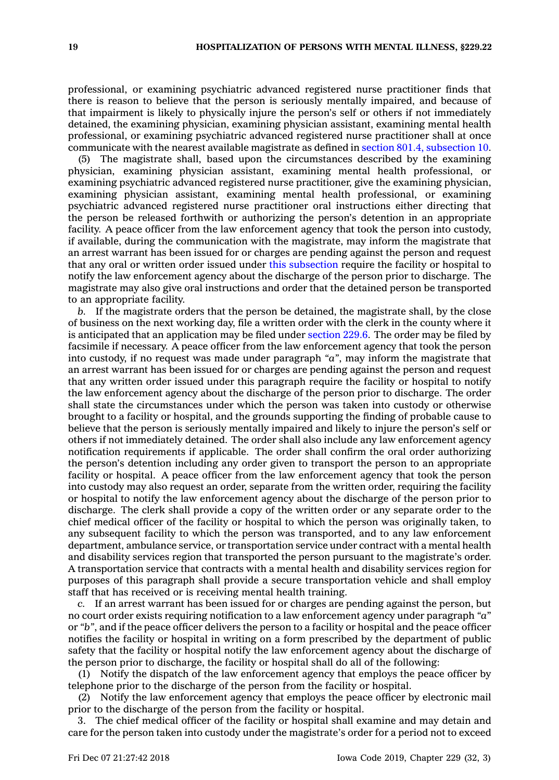professional, or examining psychiatric advanced registered nurse practitioner finds that there is reason to believe that the person is seriously mentally impaired, and because of that impairment is likely to physically injure the person's self or others if not immediately detained, the examining physician, examining physician assistant, examining mental health professional, or examining psychiatric advanced registered nurse practitioner shall at once communicate with the nearest available magistrate as defined in section 801.4, [subsection](https://www.legis.iowa.gov/docs/code/801.4.pdf) 10.

(5) The magistrate shall, based upon the circumstances described by the examining physician, examining physician assistant, examining mental health professional, or examining psychiatric advanced registered nurse practitioner, give the examining physician, examining physician assistant, examining mental health professional, or examining psychiatric advanced registered nurse practitioner oral instructions either directing that the person be released forthwith or authorizing the person's detention in an appropriate facility. A peace officer from the law enforcement agency that took the person into custody, if available, during the communication with the magistrate, may inform the magistrate that an arrest warrant has been issued for or charges are pending against the person and request that any oral or written order issued under this [subsection](https://www.legis.iowa.gov/docs/code/229.22.pdf) require the facility or hospital to notify the law enforcement agency about the discharge of the person prior to discharge. The magistrate may also give oral instructions and order that the detained person be transported to an appropriate facility.

*b.* If the magistrate orders that the person be detained, the magistrate shall, by the close of business on the next working day, file <sup>a</sup> written order with the clerk in the county where it is anticipated that an application may be filed under [section](https://www.legis.iowa.gov/docs/code/229.6.pdf) 229.6. The order may be filed by facsimile if necessary. A peace officer from the law enforcement agency that took the person into custody, if no request was made under paragraph *"a"*, may inform the magistrate that an arrest warrant has been issued for or charges are pending against the person and request that any written order issued under this paragraph require the facility or hospital to notify the law enforcement agency about the discharge of the person prior to discharge. The order shall state the circumstances under which the person was taken into custody or otherwise brought to <sup>a</sup> facility or hospital, and the grounds supporting the finding of probable cause to believe that the person is seriously mentally impaired and likely to injure the person's self or others if not immediately detained. The order shall also include any law enforcement agency notification requirements if applicable. The order shall confirm the oral order authorizing the person's detention including any order given to transport the person to an appropriate facility or hospital. A peace officer from the law enforcement agency that took the person into custody may also request an order, separate from the written order, requiring the facility or hospital to notify the law enforcement agency about the discharge of the person prior to discharge. The clerk shall provide <sup>a</sup> copy of the written order or any separate order to the chief medical officer of the facility or hospital to which the person was originally taken, to any subsequent facility to which the person was transported, and to any law enforcement department, ambulance service, or transportation service under contract with <sup>a</sup> mental health and disability services region that transported the person pursuant to the magistrate's order. A transportation service that contracts with <sup>a</sup> mental health and disability services region for purposes of this paragraph shall provide <sup>a</sup> secure transportation vehicle and shall employ staff that has received or is receiving mental health training.

*c.* If an arrest warrant has been issued for or charges are pending against the person, but no court order exists requiring notification to <sup>a</sup> law enforcement agency under paragraph *"a*" or *"b"*, and if the peace officer delivers the person to <sup>a</sup> facility or hospital and the peace officer notifies the facility or hospital in writing on <sup>a</sup> form prescribed by the department of public safety that the facility or hospital notify the law enforcement agency about the discharge of the person prior to discharge, the facility or hospital shall do all of the following:

(1) Notify the dispatch of the law enforcement agency that employs the peace officer by telephone prior to the discharge of the person from the facility or hospital.

(2) Notify the law enforcement agency that employs the peace officer by electronic mail prior to the discharge of the person from the facility or hospital.

3. The chief medical officer of the facility or hospital shall examine and may detain and care for the person taken into custody under the magistrate's order for <sup>a</sup> period not to exceed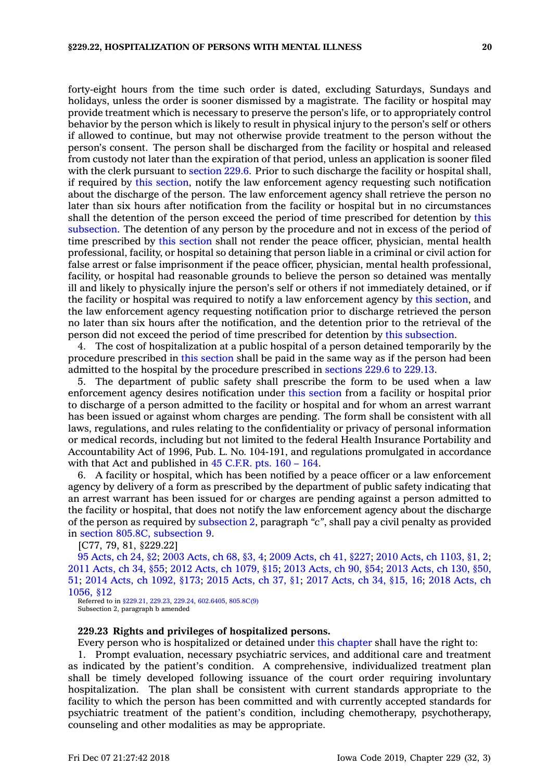forty-eight hours from the time such order is dated, excluding Saturdays, Sundays and holidays, unless the order is sooner dismissed by <sup>a</sup> magistrate. The facility or hospital may provide treatment which is necessary to preserve the person's life, or to appropriately control behavior by the person which is likely to result in physical injury to the person's self or others if allowed to continue, but may not otherwise provide treatment to the person without the person's consent. The person shall be discharged from the facility or hospital and released from custody not later than the expiration of that period, unless an application is sooner filed with the clerk pursuant to [section](https://www.legis.iowa.gov/docs/code/229.6.pdf) 229.6. Prior to such discharge the facility or hospital shall, if required by this [section](https://www.legis.iowa.gov/docs/code/229.22.pdf), notify the law enforcement agency requesting such notification about the discharge of the person. The law enforcement agency shall retrieve the person no later than six hours after notification from the facility or hospital but in no circumstances shall the detention of the person exceed the period of time prescribed for detention by [this](https://www.legis.iowa.gov/docs/code/229.22.pdf) [subsection](https://www.legis.iowa.gov/docs/code/229.22.pdf). The detention of any person by the procedure and not in excess of the period of time prescribed by this [section](https://www.legis.iowa.gov/docs/code/229.22.pdf) shall not render the peace officer, physician, mental health professional, facility, or hospital so detaining that person liable in <sup>a</sup> criminal or civil action for false arrest or false imprisonment if the peace officer, physician, mental health professional, facility, or hospital had reasonable grounds to believe the person so detained was mentally ill and likely to physically injure the person's self or others if not immediately detained, or if the facility or hospital was required to notify <sup>a</sup> law enforcement agency by this [section](https://www.legis.iowa.gov/docs/code/229.22.pdf), and the law enforcement agency requesting notification prior to discharge retrieved the person no later than six hours after the notification, and the detention prior to the retrieval of the person did not exceed the period of time prescribed for detention by this [subsection](https://www.legis.iowa.gov/docs/code/229.22.pdf).

4. The cost of hospitalization at <sup>a</sup> public hospital of <sup>a</sup> person detained temporarily by the procedure prescribed in this [section](https://www.legis.iowa.gov/docs/code/229.22.pdf) shall be paid in the same way as if the person had been admitted to the hospital by the procedure prescribed in [sections](https://www.legis.iowa.gov/docs/code/229.6.pdf) 229.6 to 229.13.

5. The department of public safety shall prescribe the form to be used when <sup>a</sup> law enforcement agency desires notification under this [section](https://www.legis.iowa.gov/docs/code/229.22.pdf) from <sup>a</sup> facility or hospital prior to discharge of <sup>a</sup> person admitted to the facility or hospital and for whom an arrest warrant has been issued or against whom charges are pending. The form shall be consistent with all laws, regulations, and rules relating to the confidentiality or privacy of personal information or medical records, including but not limited to the federal Health Insurance Portability and Accountability Act of 1996, Pub. L. No. 104-191, and regulations promulgated in accordance with that Act and published in 45 [C.F.R.](https://www.law.cornell.edu/cfr/text/45/part-160-164) pts. 160 – 164.

6. A facility or hospital, which has been notified by <sup>a</sup> peace officer or <sup>a</sup> law enforcement agency by delivery of <sup>a</sup> form as prescribed by the department of public safety indicating that an arrest warrant has been issued for or charges are pending against <sup>a</sup> person admitted to the facility or hospital, that does not notify the law enforcement agency about the discharge of the person as required by [subsection](https://www.legis.iowa.gov/docs/code/229.22.pdf) 2, paragraph *"c"*, shall pay <sup>a</sup> civil penalty as provided in section 805.8C, [subsection](https://www.legis.iowa.gov/docs/code/805.8C.pdf) 9.

[C77, 79, 81, §229.22]

 [Acts,](https://www.legis.iowa.gov/docs/acts/95/CH0024.pdf) ch 24, §2; 2003 [Acts,](https://www.legis.iowa.gov/docs/acts/2003/CH0068.pdf) ch 68, §3, 4; 2009 [Acts,](https://www.legis.iowa.gov/docs/acts/2009/CH0041.pdf) ch 41, §227; 2010 Acts, ch [1103,](https://www.legis.iowa.gov/docs/acts/2010/CH1103.pdf) §1, 2; [Acts,](https://www.legis.iowa.gov/docs/acts/2011/CH0034.pdf) ch 34, §55; 2012 Acts, ch [1079,](https://www.legis.iowa.gov/docs/acts/2012/CH1079.pdf) §15; 2013 [Acts,](https://www.legis.iowa.gov/docs/acts/2013/CH0090.pdf) ch 90, §54; 2013 [Acts,](https://www.legis.iowa.gov/docs/acts/2013/CH0130.pdf) ch 130, §50, ; 2014 Acts, ch [1092,](https://www.legis.iowa.gov/docs/acts/2014/CH1092.pdf) §173; 2015 [Acts,](https://www.legis.iowa.gov/docs/acts/2015/CH0037.pdf) ch 37, §1; 2017 [Acts,](https://www.legis.iowa.gov/docs/acts/2017/CH0034.pdf) ch 34, §15, 16; 2018 [Acts,](https://www.legis.iowa.gov/docs/acts/2018/CH1056.pdf) ch [1056,](https://www.legis.iowa.gov/docs/acts/2018/CH1056.pdf) §12

Referred to in [§229.21](https://www.legis.iowa.gov/docs/code/229.21.pdf), [229.23](https://www.legis.iowa.gov/docs/code/229.23.pdf), [229.24](https://www.legis.iowa.gov/docs/code/229.24.pdf), [602.6405](https://www.legis.iowa.gov/docs/code/602.6405.pdf), [805.8C\(9\)](https://www.legis.iowa.gov/docs/code/805.8C.pdf) Subsection 2, paragraph b amended

#### **229.23 Rights and privileges of hospitalized persons.**

Every person who is hospitalized or detained under this [chapter](https://www.legis.iowa.gov/docs/code//229.pdf) shall have the right to:

1. Prompt evaluation, necessary psychiatric services, and additional care and treatment as indicated by the patient's condition. A comprehensive, individualized treatment plan shall be timely developed following issuance of the court order requiring involuntary hospitalization. The plan shall be consistent with current standards appropriate to the facility to which the person has been committed and with currently accepted standards for psychiatric treatment of the patient's condition, including chemotherapy, psychotherapy, counseling and other modalities as may be appropriate.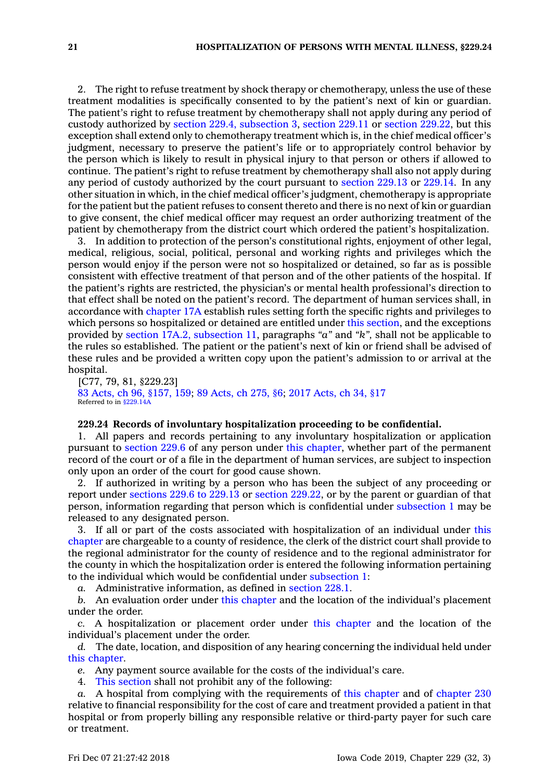2. The right to refuse treatment by shock therapy or chemotherapy, unless the use of these treatment modalities is specifically consented to by the patient's next of kin or guardian. The patient's right to refuse treatment by chemotherapy shall not apply during any period of custody authorized by section 229.4, [subsection](https://www.legis.iowa.gov/docs/code/229.4.pdf) 3, [section](https://www.legis.iowa.gov/docs/code/229.11.pdf) 229.11 or section [229.22](https://www.legis.iowa.gov/docs/code/229.22.pdf), but this exception shall extend only to chemotherapy treatment which is, in the chief medical officer's judgment, necessary to preserve the patient's life or to appropriately control behavior by the person which is likely to result in physical injury to that person or others if allowed to continue. The patient's right to refuse treatment by chemotherapy shall also not apply during any period of custody authorized by the court pursuant to [section](https://www.legis.iowa.gov/docs/code/229.13.pdf) 229.13 or [229.14](https://www.legis.iowa.gov/docs/code/229.14.pdf). In any other situation in which, in the chief medical officer's judgment, chemotherapy is appropriate for the patient but the patient refuses to consent thereto and there is no next of kin or guardian to give consent, the chief medical officer may request an order authorizing treatment of the patient by chemotherapy from the district court which ordered the patient's hospitalization.

3. In addition to protection of the person's constitutional rights, enjoyment of other legal, medical, religious, social, political, personal and working rights and privileges which the person would enjoy if the person were not so hospitalized or detained, so far as is possible consistent with effective treatment of that person and of the other patients of the hospital. If the patient's rights are restricted, the physician's or mental health professional's direction to that effect shall be noted on the patient's record. The department of human services shall, in accordance with [chapter](https://www.legis.iowa.gov/docs/code//17A.pdf) 17A establish rules setting forth the specific rights and privileges to which persons so hospitalized or detained are entitled under this [section](https://www.legis.iowa.gov/docs/code/229.23.pdf), and the exceptions provided by section 17A.2, [subsection](https://www.legis.iowa.gov/docs/code/17A.2.pdf) 11, paragraphs *"a"* and *"k",* shall not be applicable to the rules so established. The patient or the patient's next of kin or friend shall be advised of these rules and be provided <sup>a</sup> written copy upon the patient's admission to or arrival at the hospital.

[C77, 79, 81, §229.23] 83 Acts, ch 96, [§157,](https://www.legis.iowa.gov/docs/acts/83/CH0096.pdf) 159; 89 [Acts,](https://www.legis.iowa.gov/docs/acts/89/CH0275.pdf) ch 275, §6; 2017 [Acts,](https://www.legis.iowa.gov/docs/acts/2017/CH0034.pdf) ch 34, §17 Referred to in [§229.14A](https://www.legis.iowa.gov/docs/code/229.14A.pdf)

## **229.24 Records of involuntary hospitalization proceeding to be confidential.**

1. All papers and records pertaining to any involuntary hospitalization or application pursuant to [section](https://www.legis.iowa.gov/docs/code/229.6.pdf) 229.6 of any person under this [chapter](https://www.legis.iowa.gov/docs/code//229.pdf), whether part of the permanent record of the court or of <sup>a</sup> file in the department of human services, are subject to inspection only upon an order of the court for good cause shown.

2. If authorized in writing by <sup>a</sup> person who has been the subject of any proceeding or report under [sections](https://www.legis.iowa.gov/docs/code/229.6.pdf) 229.6 to 229.13 or section [229.22](https://www.legis.iowa.gov/docs/code/229.22.pdf), or by the parent or guardian of that person, information regarding that person which is confidential under [subsection](https://www.legis.iowa.gov/docs/code/229.24.pdf) 1 may be released to any designated person.

3. If all or part of the costs associated with hospitalization of an individual under [this](https://www.legis.iowa.gov/docs/code//229.pdf) [chapter](https://www.legis.iowa.gov/docs/code//229.pdf) are chargeable to <sup>a</sup> county of residence, the clerk of the district court shall provide to the regional administrator for the county of residence and to the regional administrator for the county in which the hospitalization order is entered the following information pertaining to the individual which would be confidential under [subsection](https://www.legis.iowa.gov/docs/code/229.24.pdf) 1:

*a.* Administrative information, as defined in [section](https://www.legis.iowa.gov/docs/code/228.1.pdf) 228.1.

*b.* An evaluation order under this [chapter](https://www.legis.iowa.gov/docs/code//229.pdf) and the location of the individual's placement under the order.

*c.* A hospitalization or placement order under this [chapter](https://www.legis.iowa.gov/docs/code//229.pdf) and the location of the individual's placement under the order.

*d.* The date, location, and disposition of any hearing concerning the individual held under this [chapter](https://www.legis.iowa.gov/docs/code//229.pdf).

*e.* Any payment source available for the costs of the individual's care.

4. This [section](https://www.legis.iowa.gov/docs/code/229.24.pdf) shall not prohibit any of the following:

*a.* A hospital from complying with the requirements of this [chapter](https://www.legis.iowa.gov/docs/code//229.pdf) and of [chapter](https://www.legis.iowa.gov/docs/code//230.pdf) 230 relative to financial responsibility for the cost of care and treatment provided <sup>a</sup> patient in that hospital or from properly billing any responsible relative or third-party payer for such care or treatment.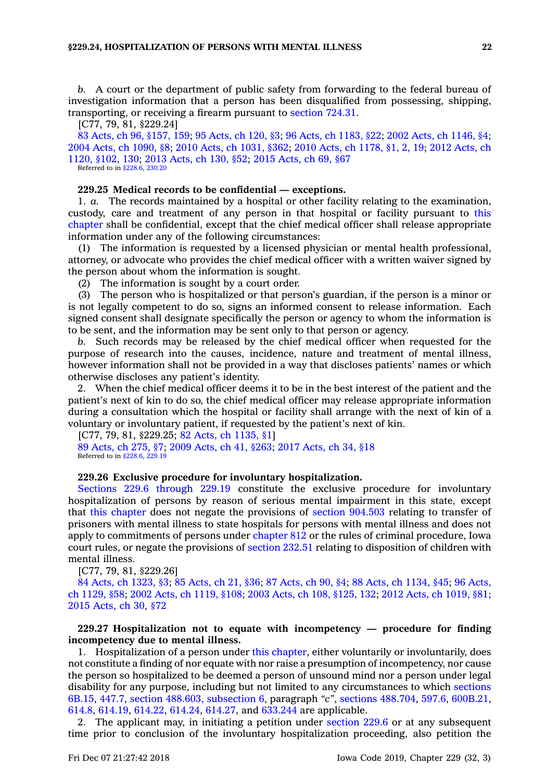*b.* A court or the department of public safety from forwarding to the federal bureau of investigation information that <sup>a</sup> person has been disqualified from possessing, shipping, transporting, or receiving <sup>a</sup> firearm pursuant to [section](https://www.legis.iowa.gov/docs/code/724.31.pdf) 724.31.

[C77, 79, 81, §229.24]

83 Acts, ch 96, [§157,](https://www.legis.iowa.gov/docs/acts/83/CH0096.pdf) 159; 95 [Acts,](https://www.legis.iowa.gov/docs/acts/95/CH0120.pdf) ch 120, §3; 96 Acts, ch [1183,](https://www.legis.iowa.gov/docs/acts/96/CH1183.pdf) §22; 2002 Acts, ch [1146,](https://www.legis.iowa.gov/docs/acts/2002/CH1146.pdf) §4; 2004 Acts, ch [1090,](https://www.legis.iowa.gov/docs/acts/2004/CH1090.pdf) §8; 2010 Acts, ch [1031,](https://www.legis.iowa.gov/docs/acts/2010/CH1031.pdf) §362; 2010 Acts, ch [1178,](https://www.legis.iowa.gov/docs/acts/2010/CH1178.pdf) §1, 2, 19; 2012 [Acts,](https://www.legis.iowa.gov/docs/acts/2012/CH1120.pdf) ch 1120, [§102,](https://www.legis.iowa.gov/docs/acts/2012/CH1120.pdf) 130; 2013 [Acts,](https://www.legis.iowa.gov/docs/acts/2013/CH0130.pdf) ch 130, §52; 2015 [Acts,](https://www.legis.iowa.gov/docs/acts/2015/CH0069.pdf) ch 69, §67 Referred to in [§228.6](https://www.legis.iowa.gov/docs/code/228.6.pdf), [230.20](https://www.legis.iowa.gov/docs/code/230.20.pdf)

### **229.25 Medical records to be confidential —exceptions.**

1. *a.* The records maintained by <sup>a</sup> hospital or other facility relating to the examination, custody, care and treatment of any person in that hospital or facility pursuant to [this](https://www.legis.iowa.gov/docs/code//229.pdf) [chapter](https://www.legis.iowa.gov/docs/code//229.pdf) shall be confidential, except that the chief medical officer shall release appropriate information under any of the following circumstances:

(1) The information is requested by <sup>a</sup> licensed physician or mental health professional, attorney, or advocate who provides the chief medical officer with <sup>a</sup> written waiver signed by the person about whom the information is sought.

(2) The information is sought by <sup>a</sup> court order.

(3) The person who is hospitalized or that person's guardian, if the person is <sup>a</sup> minor or is not legally competent to do so, signs an informed consent to release information. Each signed consent shall designate specifically the person or agency to whom the information is to be sent, and the information may be sent only to that person or agency.

*b.* Such records may be released by the chief medical officer when requested for the purpose of research into the causes, incidence, nature and treatment of mental illness, however information shall not be provided in <sup>a</sup> way that discloses patients' names or which otherwise discloses any patient's identity.

2. When the chief medical officer deems it to be in the best interest of the patient and the patient's next of kin to do so, the chief medical officer may release appropriate information during <sup>a</sup> consultation which the hospital or facility shall arrange with the next of kin of <sup>a</sup> voluntary or involuntary patient, if requested by the patient's next of kin.

[C77, 79, 81, §229.25; 82 Acts, ch [1135,](https://www.legis.iowa.gov/docs/acts/1982/CH1135.pdf) §1] 89 [Acts,](https://www.legis.iowa.gov/docs/acts/89/CH0275.pdf) ch 275, §7; 2009 [Acts,](https://www.legis.iowa.gov/docs/acts/2009/CH0041.pdf) ch 41, §263; 2017 [Acts,](https://www.legis.iowa.gov/docs/acts/2017/CH0034.pdf) ch 34, §18 Referred to in [§228.6](https://www.legis.iowa.gov/docs/code/228.6.pdf), [229.19](https://www.legis.iowa.gov/docs/code/229.19.pdf)

#### **229.26 Exclusive procedure for involuntary hospitalization.**

Sections 229.6 [through](https://www.legis.iowa.gov/docs/code/229.6.pdf) 229.19 constitute the exclusive procedure for involuntary hospitalization of persons by reason of serious mental impairment in this state, except that this [chapter](https://www.legis.iowa.gov/docs/code//229.pdf) does not negate the provisions of section [904.503](https://www.legis.iowa.gov/docs/code/904.503.pdf) relating to transfer of prisoners with mental illness to state hospitals for persons with mental illness and does not apply to commitments of persons under [chapter](https://www.legis.iowa.gov/docs/code//812.pdf) 812 or the rules of criminal procedure, Iowa court rules, or negate the provisions of [section](https://www.legis.iowa.gov/docs/code/232.51.pdf) 232.51 relating to disposition of children with mental illness.

[C77, 79, 81, §229.26]

84 Acts, ch [1323,](https://www.legis.iowa.gov/docs/acts/84/CH1323.pdf) §3; 85 [Acts,](https://www.legis.iowa.gov/docs/acts/85/CH0021.pdf) ch 21, §36; 87 [Acts,](https://www.legis.iowa.gov/docs/acts/87/CH0090.pdf) ch 90, §4; 88 Acts, ch [1134,](https://www.legis.iowa.gov/docs/acts/88/CH1134.pdf) §45; 96 [Acts,](https://www.legis.iowa.gov/docs/acts/96/CH1129.pdf) ch [1129,](https://www.legis.iowa.gov/docs/acts/96/CH1129.pdf) §58; 2002 Acts, ch [1119,](https://www.legis.iowa.gov/docs/acts/2002/CH1119.pdf) §108; 2003 Acts, ch 108, [§125,](https://www.legis.iowa.gov/docs/acts/2003/CH0108.pdf) 132; 2012 Acts, ch [1019,](https://www.legis.iowa.gov/docs/acts/2012/CH1019.pdf) §81; 2015 [Acts,](https://www.legis.iowa.gov/docs/acts/2015/CH0030.pdf) ch 30, §72

## **229.27 Hospitalization not to equate with incompetency — procedure for finding incompetency due to mental illness.**

1. Hospitalization of <sup>a</sup> person under this [chapter](https://www.legis.iowa.gov/docs/code//229.pdf), either voluntarily or involuntarily, does not constitute <sup>a</sup> finding of nor equate with nor raise <sup>a</sup> presumption of incompetency, nor cause the person so hospitalized to be deemed <sup>a</sup> person of unsound mind nor <sup>a</sup> person under legal disability for any purpose, including but not limited to any circumstances to which [sections](https://www.legis.iowa.gov/docs/code/6B.15.pdf) [6B.15](https://www.legis.iowa.gov/docs/code/6B.15.pdf), [447.7](https://www.legis.iowa.gov/docs/code/447.7.pdf), section 488.603, [subsection](https://www.legis.iowa.gov/docs/code/488.603.pdf) 6, paragraph *"c"*, sections [488.704](https://www.legis.iowa.gov/docs/code/488.704.pdf), [597.6](https://www.legis.iowa.gov/docs/code/597.6.pdf), [600B.21](https://www.legis.iowa.gov/docs/code/600B.21.pdf), [614.8](https://www.legis.iowa.gov/docs/code/614.8.pdf), [614.19](https://www.legis.iowa.gov/docs/code/614.19.pdf), [614.22](https://www.legis.iowa.gov/docs/code/614.22.pdf), [614.24](https://www.legis.iowa.gov/docs/code/614.24.pdf), [614.27](https://www.legis.iowa.gov/docs/code/614.27.pdf), and [633.244](https://www.legis.iowa.gov/docs/code/633.244.pdf) are applicable.

2. The applicant may, in initiating <sup>a</sup> petition under [section](https://www.legis.iowa.gov/docs/code/229.6.pdf) 229.6 or at any subsequent time prior to conclusion of the involuntary hospitalization proceeding, also petition the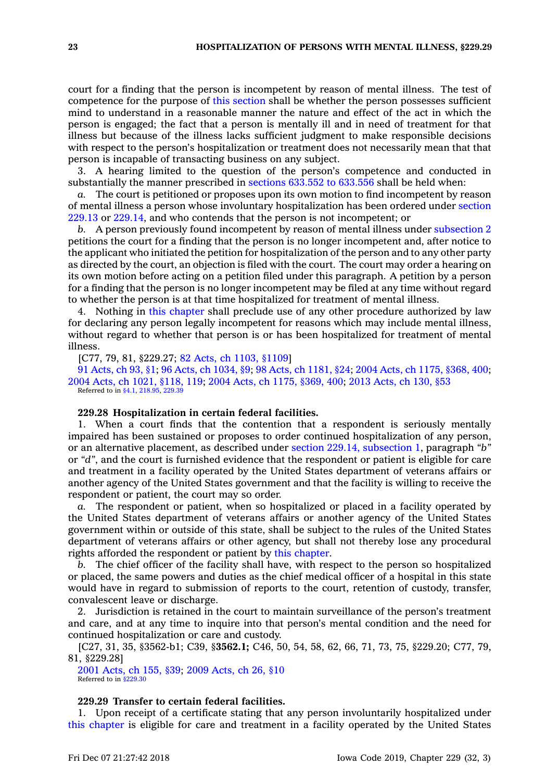court for <sup>a</sup> finding that the person is incompetent by reason of mental illness. The test of competence for the purpose of this [section](https://www.legis.iowa.gov/docs/code/229.27.pdf) shall be whether the person possesses sufficient mind to understand in <sup>a</sup> reasonable manner the nature and effect of the act in which the person is engaged; the fact that <sup>a</sup> person is mentally ill and in need of treatment for that illness but because of the illness lacks sufficient judgment to make responsible decisions with respect to the person's hospitalization or treatment does not necessarily mean that that person is incapable of transacting business on any subject.

3. A hearing limited to the question of the person's competence and conducted in substantially the manner prescribed in [sections](https://www.legis.iowa.gov/docs/code/633.552.pdf) 633.552 to 633.556 shall be held when:

*a.* The court is petitioned or proposes upon its own motion to find incompetent by reason of mental illness <sup>a</sup> person whose involuntary hospitalization has been ordered under [section](https://www.legis.iowa.gov/docs/code/229.13.pdf) [229.13](https://www.legis.iowa.gov/docs/code/229.13.pdf) or [229.14](https://www.legis.iowa.gov/docs/code/229.14.pdf), and who contends that the person is not incompetent; or

*b.* A person previously found incompetent by reason of mental illness under [subsection](https://www.legis.iowa.gov/docs/code/229.27.pdf) 2 petitions the court for <sup>a</sup> finding that the person is no longer incompetent and, after notice to the applicant who initiated the petition for hospitalization of the person and to any other party as directed by the court, an objection is filed with the court. The court may order <sup>a</sup> hearing on its own motion before acting on <sup>a</sup> petition filed under this paragraph. A petition by <sup>a</sup> person for <sup>a</sup> finding that the person is no longer incompetent may be filed at any time without regard to whether the person is at that time hospitalized for treatment of mental illness.

4. Nothing in this [chapter](https://www.legis.iowa.gov/docs/code//229.pdf) shall preclude use of any other procedure authorized by law for declaring any person legally incompetent for reasons which may include mental illness, without regard to whether that person is or has been hospitalized for treatment of mental illness.

[C77, 79, 81, §229.27; 82 Acts, ch 1103, [§1109](https://www.legis.iowa.gov/docs/acts/1982/CH1103.pdf)]

91 [Acts,](https://www.legis.iowa.gov/docs/acts/91/CH0093.pdf) ch 93, §1; 96 Acts, ch [1034,](https://www.legis.iowa.gov/docs/acts/96/CH1034.pdf) §9; 98 Acts, ch [1181,](https://www.legis.iowa.gov/docs/acts/98/CH1181.pdf) §24; 2004 Acts, ch 1175, [§368,](https://www.legis.iowa.gov/docs/acts/2004/CH1175.pdf) 400; 2004 Acts, ch 1021, [§118,](https://www.legis.iowa.gov/docs/acts/2004/CH1021.pdf) 119; 2004 Acts, ch 1175, [§369,](https://www.legis.iowa.gov/docs/acts/2004/CH1175.pdf) 400; 2013 [Acts,](https://www.legis.iowa.gov/docs/acts/2013/CH0130.pdf) ch 130, §53 Referred to in [§4.1](https://www.legis.iowa.gov/docs/code/4.1.pdf), [218.95](https://www.legis.iowa.gov/docs/code/218.95.pdf), [229.39](https://www.legis.iowa.gov/docs/code/229.39.pdf)

### **229.28 Hospitalization in certain federal facilities.**

1. When <sup>a</sup> court finds that the contention that <sup>a</sup> respondent is seriously mentally impaired has been sustained or proposes to order continued hospitalization of any person, or an alternative placement, as described under section 229.14, [subsection](https://www.legis.iowa.gov/docs/code/229.14.pdf) 1, paragraph *"b"* or *"d"*, and the court is furnished evidence that the respondent or patient is eligible for care and treatment in <sup>a</sup> facility operated by the United States department of veterans affairs or another agency of the United States government and that the facility is willing to receive the respondent or patient, the court may so order.

*a.* The respondent or patient, when so hospitalized or placed in <sup>a</sup> facility operated by the United States department of veterans affairs or another agency of the United States government within or outside of this state, shall be subject to the rules of the United States department of veterans affairs or other agency, but shall not thereby lose any procedural rights afforded the respondent or patient by this [chapter](https://www.legis.iowa.gov/docs/code//229.pdf).

*b.* The chief officer of the facility shall have, with respect to the person so hospitalized or placed, the same powers and duties as the chief medical officer of <sup>a</sup> hospital in this state would have in regard to submission of reports to the court, retention of custody, transfer, convalescent leave or discharge.

2. Jurisdiction is retained in the court to maintain surveillance of the person's treatment and care, and at any time to inquire into that person's mental condition and the need for continued hospitalization or care and custody.

[C27, 31, 35, §3562-b1; C39, §**3562.1;** C46, 50, 54, 58, 62, 66, 71, 73, 75, §229.20; C77, 79, 81, §229.28]

2001 [Acts,](https://www.legis.iowa.gov/docs/acts/2001/CH0155.pdf) ch 155, §39; 2009 [Acts,](https://www.legis.iowa.gov/docs/acts/2009/CH0026.pdf) ch 26, §10 Referred to in [§229.30](https://www.legis.iowa.gov/docs/code/229.30.pdf)

### **229.29 Transfer to certain federal facilities.**

1. Upon receipt of <sup>a</sup> certificate stating that any person involuntarily hospitalized under this [chapter](https://www.legis.iowa.gov/docs/code//229.pdf) is eligible for care and treatment in <sup>a</sup> facility operated by the United States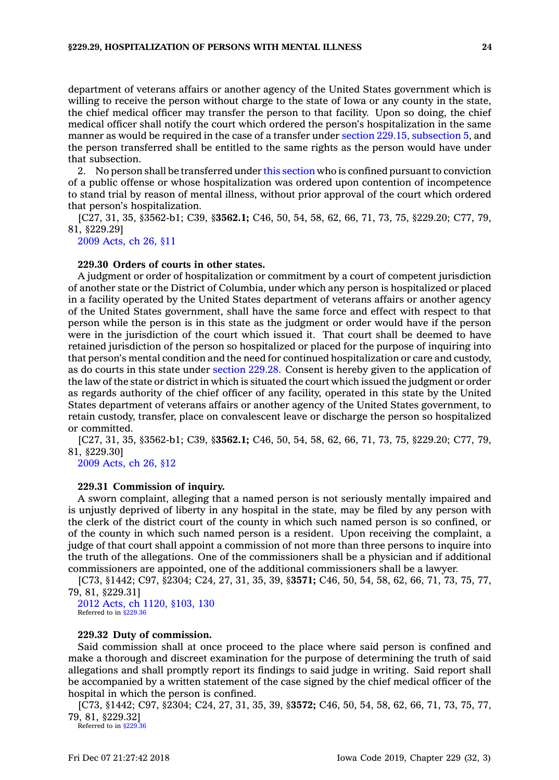department of veterans affairs or another agency of the United States government which is willing to receive the person without charge to the state of Iowa or any county in the state, the chief medical officer may transfer the person to that facility. Upon so doing, the chief medical officer shall notify the court which ordered the person's hospitalization in the same manner as would be required in the case of <sup>a</sup> transfer under section 229.15, [subsection](https://www.legis.iowa.gov/docs/code/229.15.pdf) 5, and the person transferred shall be entitled to the same rights as the person would have under that subsection.

2. No person shall be transferred under this [section](https://www.legis.iowa.gov/docs/code/229.29.pdf) who is confined pursuant to conviction of <sup>a</sup> public offense or whose hospitalization was ordered upon contention of incompetence to stand trial by reason of mental illness, without prior approval of the court which ordered that person's hospitalization.

[C27, 31, 35, §3562-b1; C39, §**3562.1;** C46, 50, 54, 58, 62, 66, 71, 73, 75, §229.20; C77, 79, 81, §229.29]

2009 [Acts,](https://www.legis.iowa.gov/docs/acts/2009/CH0026.pdf) ch 26, §11

## **229.30 Orders of courts in other states.**

A judgment or order of hospitalization or commitment by <sup>a</sup> court of competent jurisdiction of another state or the District of Columbia, under which any person is hospitalized or placed in <sup>a</sup> facility operated by the United States department of veterans affairs or another agency of the United States government, shall have the same force and effect with respect to that person while the person is in this state as the judgment or order would have if the person were in the jurisdiction of the court which issued it. That court shall be deemed to have retained jurisdiction of the person so hospitalized or placed for the purpose of inquiring into that person's mental condition and the need for continued hospitalization or care and custody, as do courts in this state under [section](https://www.legis.iowa.gov/docs/code/229.28.pdf) 229.28. Consent is hereby given to the application of the law of the state or district in which is situated the court which issued the judgment or order as regards authority of the chief officer of any facility, operated in this state by the United States department of veterans affairs or another agency of the United States government, to retain custody, transfer, place on convalescent leave or discharge the person so hospitalized or committed.

[C27, 31, 35, §3562-b1; C39, §**3562.1;** C46, 50, 54, 58, 62, 66, 71, 73, 75, §229.20; C77, 79, 81, §229.30]

2009 [Acts,](https://www.legis.iowa.gov/docs/acts/2009/CH0026.pdf) ch 26, §12

### **229.31 Commission of inquiry.**

A sworn complaint, alleging that <sup>a</sup> named person is not seriously mentally impaired and is unjustly deprived of liberty in any hospital in the state, may be filed by any person with the clerk of the district court of the county in which such named person is so confined, or of the county in which such named person is <sup>a</sup> resident. Upon receiving the complaint, <sup>a</sup> judge of that court shall appoint <sup>a</sup> commission of not more than three persons to inquire into the truth of the allegations. One of the commissioners shall be <sup>a</sup> physician and if additional commissioners are appointed, one of the additional commissioners shall be <sup>a</sup> lawyer.

[C73, §1442; C97, §2304; C24, 27, 31, 35, 39, §**3571;** C46, 50, 54, 58, 62, 66, 71, 73, 75, 77, 79, 81, §229.31]

2012 Acts, ch 1120, [§103,](https://www.legis.iowa.gov/docs/acts/2012/CH1120.pdf) 130 Referred to in [§229.36](https://www.legis.iowa.gov/docs/code/229.36.pdf)

### **229.32 Duty of commission.**

Said commission shall at once proceed to the place where said person is confined and make <sup>a</sup> thorough and discreet examination for the purpose of determining the truth of said allegations and shall promptly report its findings to said judge in writing. Said report shall be accompanied by <sup>a</sup> written statement of the case signed by the chief medical officer of the hospital in which the person is confined.

[C73, §1442; C97, §2304; C24, 27, 31, 35, 39, §**3572;** C46, 50, 54, 58, 62, 66, 71, 73, 75, 77, 79, 81, §229.32]

Referred to in  $$229$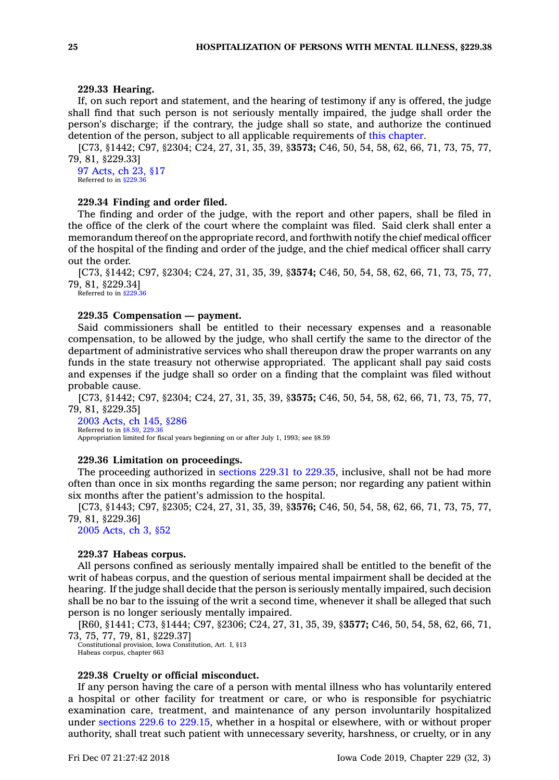### **229.33 Hearing.**

If, on such report and statement, and the hearing of testimony if any is offered, the judge shall find that such person is not seriously mentally impaired, the judge shall order the person's discharge; if the contrary, the judge shall so state, and authorize the continued detention of the person, subject to all applicable requirements of this [chapter](https://www.legis.iowa.gov/docs/code//229.pdf).

[C73, §1442; C97, §2304; C24, 27, 31, 35, 39, §**3573;** C46, 50, 54, 58, 62, 66, 71, 73, 75, 77, 79, 81, §229.33]

97 [Acts,](https://www.legis.iowa.gov/docs/acts/1997/CH0023.pdf) ch 23, §17 Referred to in [§229.36](https://www.legis.iowa.gov/docs/code/229.36.pdf)

### **229.34 Finding and order filed.**

The finding and order of the judge, with the report and other papers, shall be filed in the office of the clerk of the court where the complaint was filed. Said clerk shall enter <sup>a</sup> memorandum thereof on the appropriate record, and forthwith notify the chief medical officer of the hospital of the finding and order of the judge, and the chief medical officer shall carry out the order.

[C73, §1442; C97, §2304; C24, 27, 31, 35, 39, §**3574;** C46, 50, 54, 58, 62, 66, 71, 73, 75, 77, 79, 81, §229.34]

Referred to in [§229.36](https://www.legis.iowa.gov/docs/code/229.36.pdf)

## **229.35 Compensation — payment.**

Said commissioners shall be entitled to their necessary expenses and <sup>a</sup> reasonable compensation, to be allowed by the judge, who shall certify the same to the director of the department of administrative services who shall thereupon draw the proper warrants on any funds in the state treasury not otherwise appropriated. The applicant shall pay said costs and expenses if the judge shall so order on <sup>a</sup> finding that the complaint was filed without probable cause.

[C73, §1442; C97, §2304; C24, 27, 31, 35, 39, §**3575;** C46, 50, 54, 58, 62, 66, 71, 73, 75, 77, 79, 81, §229.35]

2003 [Acts,](https://www.legis.iowa.gov/docs/acts/2003/CH0145.pdf) ch 145, §286 Referred to in [§8.59](https://www.legis.iowa.gov/docs/code/8.59.pdf), [229.36](https://www.legis.iowa.gov/docs/code/229.36.pdf) Appropriation limited for fiscal years beginning on or after July 1, 1993; see §8.59

#### **229.36 Limitation on proceedings.**

The proceeding authorized in [sections](https://www.legis.iowa.gov/docs/code/229.31.pdf) 229.31 to 229.35, inclusive, shall not be had more often than once in six months regarding the same person; nor regarding any patient within six months after the patient's admission to the hospital.

[C73, §1443; C97, §2305; C24, 27, 31, 35, 39, §**3576;** C46, 50, 54, 58, 62, 66, 71, 73, 75, 77, 79, 81, §229.36]

2005 [Acts,](https://www.legis.iowa.gov/docs/acts/2005/CH0003.pdf) ch 3, §52

#### **229.37 Habeas corpus.**

All persons confined as seriously mentally impaired shall be entitled to the benefit of the writ of habeas corpus, and the question of serious mental impairment shall be decided at the hearing. If the judge shall decide that the person is seriously mentally impaired, such decision shall be no bar to the issuing of the writ <sup>a</sup> second time, whenever it shall be alleged that such person is no longer seriously mentally impaired.

[R60, §1441; C73, §1444; C97, §2306; C24, 27, 31, 35, 39, §**3577;** C46, 50, 54, 58, 62, 66, 71, 73, 75, 77, 79, 81, §229.37]

Constitutional provision, Iowa Constitution, Art. I, §13 Habeas corpus, chapter 663

## **229.38 Cruelty or official misconduct.**

If any person having the care of <sup>a</sup> person with mental illness who has voluntarily entered <sup>a</sup> hospital or other facility for treatment or care, or who is responsible for psychiatric examination care, treatment, and maintenance of any person involuntarily hospitalized under [sections](https://www.legis.iowa.gov/docs/code/229.6.pdf) 229.6 to 229.15, whether in <sup>a</sup> hospital or elsewhere, with or without proper authority, shall treat such patient with unnecessary severity, harshness, or cruelty, or in any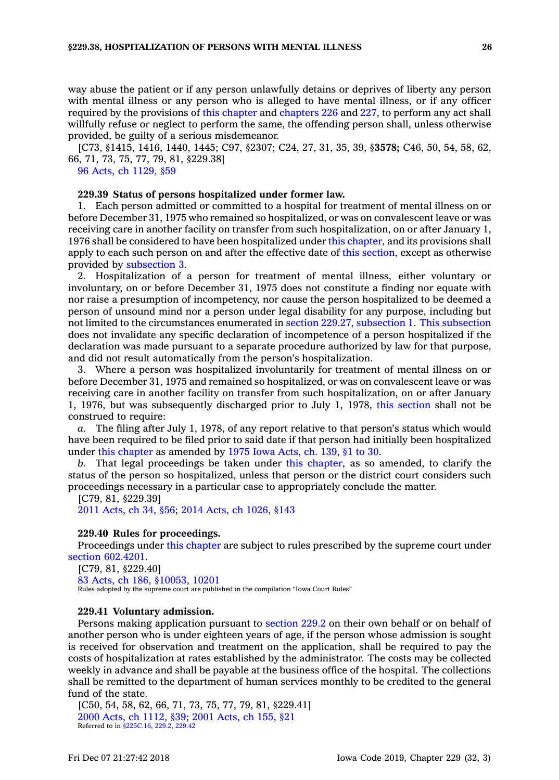way abuse the patient or if any person unlawfully detains or deprives of liberty any person with mental illness or any person who is alleged to have mental illness, or if any officer required by the provisions of this [chapter](https://www.legis.iowa.gov/docs/code//229.pdf) and [chapters](https://www.legis.iowa.gov/docs/code//226.pdf) 226 and [227](https://www.legis.iowa.gov/docs/code//227.pdf), to perform any act shall willfully refuse or neglect to perform the same, the offending person shall, unless otherwise provided, be guilty of <sup>a</sup> serious misdemeanor.

[C73, §1415, 1416, 1440, 1445; C97, §2307; C24, 27, 31, 35, 39, §**3578;** C46, 50, 54, 58, 62, 66, 71, 73, 75, 77, 79, 81, §229.38]

## 96 Acts, ch [1129,](https://www.legis.iowa.gov/docs/acts/1996/CH1129.pdf) §59

### **229.39 Status of persons hospitalized under former law.**

1. Each person admitted or committed to <sup>a</sup> hospital for treatment of mental illness on or before December 31, 1975 who remained so hospitalized, or was on convalescent leave or was receiving care in another facility on transfer from such hospitalization, on or after January 1, 1976 shall be considered to have been hospitalized under this [chapter](https://www.legis.iowa.gov/docs/code//229.pdf), and its provisions shall apply to each such person on and after the effective date of this [section](https://www.legis.iowa.gov/docs/code/229.39.pdf), except as otherwise provided by [subsection](https://www.legis.iowa.gov/docs/code/229.39.pdf) 3.

2. Hospitalization of <sup>a</sup> person for treatment of mental illness, either voluntary or involuntary, on or before December 31, 1975 does not constitute <sup>a</sup> finding nor equate with nor raise <sup>a</sup> presumption of incompetency, nor cause the person hospitalized to be deemed <sup>a</sup> person of unsound mind nor <sup>a</sup> person under legal disability for any purpose, including but not limited to the circumstances enumerated in section 229.27, [subsection](https://www.legis.iowa.gov/docs/code/229.27.pdf) 1. This [subsection](https://www.legis.iowa.gov/docs/code/229.39.pdf) does not invalidate any specific declaration of incompetence of <sup>a</sup> person hospitalized if the declaration was made pursuant to <sup>a</sup> separate procedure authorized by law for that purpose, and did not result automatically from the person's hospitalization.

3. Where <sup>a</sup> person was hospitalized involuntarily for treatment of mental illness on or before December 31, 1975 and remained so hospitalized, or was on convalescent leave or was receiving care in another facility on transfer from such hospitalization, on or after January 1, 1976, but was subsequently discharged prior to July 1, 1978, this [section](https://www.legis.iowa.gov/docs/code/229.39.pdf) shall not be construed to require:

*a.* The filing after July 1, 1978, of any report relative to that person's status which would have been required to be filed prior to said date if that person had initially been hospitalized under this [chapter](https://www.legis.iowa.gov/docs/code//229.pdf) as amended by 1975 Iowa [Acts,](https://www.legis.iowa.gov/docs/acts/1975/CH0139.pdf) ch. 139, §1 to 30.

*b.* That legal proceedings be taken under this [chapter](https://www.legis.iowa.gov/docs/code//229.pdf), as so amended, to clarify the status of the person so hospitalized, unless that person or the district court considers such proceedings necessary in <sup>a</sup> particular case to appropriately conclude the matter.

[C79, 81, §229.39]

2011 [Acts,](https://www.legis.iowa.gov/docs/acts/2011/CH0034.pdf) ch 34, §56; 2014 Acts, ch [1026,](https://www.legis.iowa.gov/docs/acts/2014/CH1026.pdf) §143

### **229.40 Rules for proceedings.**

Proceedings under this [chapter](https://www.legis.iowa.gov/docs/code//229.pdf) are subject to rules prescribed by the supreme court under section [602.4201](https://www.legis.iowa.gov/docs/code/602.4201.pdf).

[C79, 81, §229.40] 83 Acts, ch 186, [§10053,](https://www.legis.iowa.gov/docs/acts/1983/CH0186.pdf) 10201 Rules adopted by the supreme court are published in the compilation "Iowa Court Rules"

## **229.41 Voluntary admission.**

Persons making application pursuant to [section](https://www.legis.iowa.gov/docs/code/229.2.pdf) 229.2 on their own behalf or on behalf of another person who is under eighteen years of age, if the person whose admission is sought is received for observation and treatment on the application, shall be required to pay the costs of hospitalization at rates established by the administrator. The costs may be collected weekly in advance and shall be payable at the business office of the hospital. The collections shall be remitted to the department of human services monthly to be credited to the general fund of the state.

[C50, 54, 58, 62, 66, 71, 73, 75, 77, 79, 81, §229.41] 2000 Acts, ch [1112,](https://www.legis.iowa.gov/docs/acts/2000/CH1112.pdf) §39; 2001 [Acts,](https://www.legis.iowa.gov/docs/acts/2001/CH0155.pdf) ch 155, §21 Referred to in [§225C.16](https://www.legis.iowa.gov/docs/code/225C.16.pdf), [229.2](https://www.legis.iowa.gov/docs/code/229.2.pdf), [229.42](https://www.legis.iowa.gov/docs/code/229.42.pdf)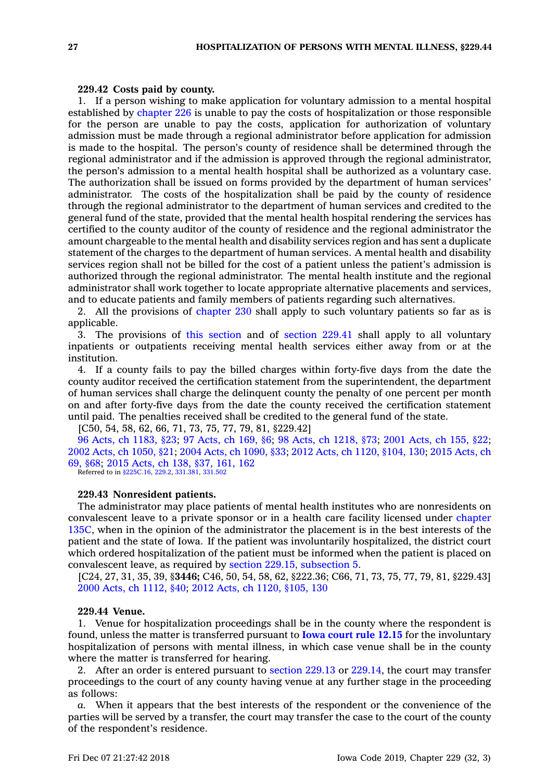## **229.42 Costs paid by county.**

1. If <sup>a</sup> person wishing to make application for voluntary admission to <sup>a</sup> mental hospital established by [chapter](https://www.legis.iowa.gov/docs/code//226.pdf) 226 is unable to pay the costs of hospitalization or those responsible for the person are unable to pay the costs, application for authorization of voluntary admission must be made through <sup>a</sup> regional administrator before application for admission is made to the hospital. The person's county of residence shall be determined through the regional administrator and if the admission is approved through the regional administrator, the person's admission to <sup>a</sup> mental health hospital shall be authorized as <sup>a</sup> voluntary case. The authorization shall be issued on forms provided by the department of human services' administrator. The costs of the hospitalization shall be paid by the county of residence through the regional administrator to the department of human services and credited to the general fund of the state, provided that the mental health hospital rendering the services has certified to the county auditor of the county of residence and the regional administrator the amount chargeable to the mental health and disability services region and has sent <sup>a</sup> duplicate statement of the charges to the department of human services. A mental health and disability services region shall not be billed for the cost of <sup>a</sup> patient unless the patient's admission is authorized through the regional administrator. The mental health institute and the regional administrator shall work together to locate appropriate alternative placements and services, and to educate patients and family members of patients regarding such alternatives.

2. All the provisions of [chapter](https://www.legis.iowa.gov/docs/code//230.pdf) 230 shall apply to such voluntary patients so far as is applicable.

3. The provisions of this [section](https://www.legis.iowa.gov/docs/code/229.42.pdf) and of [section](https://www.legis.iowa.gov/docs/code/229.41.pdf) 229.41 shall apply to all voluntary inpatients or outpatients receiving mental health services either away from or at the institution.

4. If <sup>a</sup> county fails to pay the billed charges within forty-five days from the date the county auditor received the certification statement from the superintendent, the department of human services shall charge the delinquent county the penalty of one percent per month on and after forty-five days from the date the county received the certification statement until paid. The penalties received shall be credited to the general fund of the state.

[C50, 54, 58, 62, 66, 71, 73, 75, 77, 79, 81, §229.42]

96 Acts, ch [1183,](https://www.legis.iowa.gov/docs/acts/96/CH1183.pdf) §23; 97 [Acts,](https://www.legis.iowa.gov/docs/acts/97/CH0169.pdf) ch 169, §6; 98 Acts, ch [1218,](https://www.legis.iowa.gov/docs/acts/98/CH1218.pdf) §73; 2001 [Acts,](https://www.legis.iowa.gov/docs/acts/2001/CH0155.pdf) ch 155, §22; 2002 Acts, ch [1050,](https://www.legis.iowa.gov/docs/acts/2002/CH1050.pdf) §21; 2004 Acts, ch [1090,](https://www.legis.iowa.gov/docs/acts/2004/CH1090.pdf) §33; 2012 Acts, ch 1120, [§104,](https://www.legis.iowa.gov/docs/acts/2012/CH1120.pdf) 130; 2015 [Acts,](https://www.legis.iowa.gov/docs/acts/2015/CH0069.pdf) ch 69, [§68](https://www.legis.iowa.gov/docs/acts/2015/CH0069.pdf); 2015 [Acts,](https://www.legis.iowa.gov/docs/acts/2015/CH0138.pdf) ch 138, §37, 161, 162 Referred to in [§225C.16](https://www.legis.iowa.gov/docs/code/225C.16.pdf), [229.2](https://www.legis.iowa.gov/docs/code/229.2.pdf), [331.381](https://www.legis.iowa.gov/docs/code/331.381.pdf), [331.502](https://www.legis.iowa.gov/docs/code/331.502.pdf)

### **229.43 Nonresident patients.**

The administrator may place patients of mental health institutes who are nonresidents on convalescent leave to <sup>a</sup> private sponsor or in <sup>a</sup> health care facility licensed under [chapter](https://www.legis.iowa.gov/docs/code//135C.pdf) [135C](https://www.legis.iowa.gov/docs/code//135C.pdf), when in the opinion of the administrator the placement is in the best interests of the patient and the state of Iowa. If the patient was involuntarily hospitalized, the district court which ordered hospitalization of the patient must be informed when the patient is placed on convalescent leave, as required by section 229.15, [subsection](https://www.legis.iowa.gov/docs/code/229.15.pdf) 5.

[C24, 27, 31, 35, 39, §**3446;** C46, 50, 54, 58, 62, §222.36; C66, 71, 73, 75, 77, 79, 81, §229.43] 2000 Acts, ch [1112,](https://www.legis.iowa.gov/docs/acts/2000/CH1112.pdf) §40; 2012 Acts, ch 1120, [§105,](https://www.legis.iowa.gov/docs/acts/2012/CH1120.pdf) 130

## **229.44 Venue.**

1. Venue for hospitalization proceedings shall be in the county where the respondent is found, unless the matter is transferred pursuant to **Iowa court rule [12.15](https://www.legis.iowa.gov/docs/ACO/CourtRulesChapter/12.pdf)** for the involuntary hospitalization of persons with mental illness, in which case venue shall be in the county where the matter is transferred for hearing.

2. After an order is entered pursuant to [section](https://www.legis.iowa.gov/docs/code/229.13.pdf) 229.13 or [229.14](https://www.legis.iowa.gov/docs/code/229.14.pdf), the court may transfer proceedings to the court of any county having venue at any further stage in the proceeding as follows:

*a.* When it appears that the best interests of the respondent or the convenience of the parties will be served by <sup>a</sup> transfer, the court may transfer the case to the court of the county of the respondent's residence.